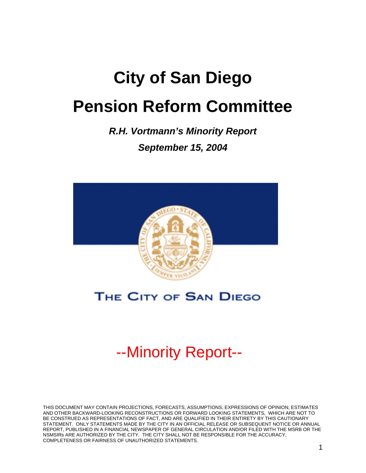# **City of San Diego Pension Reform Committee**

*R.H. Vortmann's Minority Report September 15, 2004*



### THE CITY OF SAN DIEGO

## --Minority Report--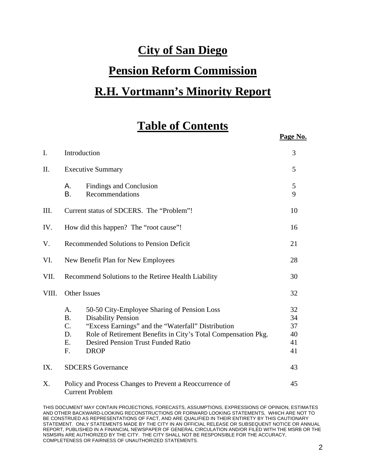### **City of San Diego**

# **Pension Reform Commission R.H. Vortmann's Minority Report**

### **Table of Contents**

*Page No. Page No.* 

| I.    |                                                           | Introduction                                                                                                                                                                                                                                                | 3                                |
|-------|-----------------------------------------------------------|-------------------------------------------------------------------------------------------------------------------------------------------------------------------------------------------------------------------------------------------------------------|----------------------------------|
| II.   |                                                           | <b>Executive Summary</b>                                                                                                                                                                                                                                    | 5                                |
|       | А.<br>B.                                                  | <b>Findings and Conclusion</b><br>Recommendations                                                                                                                                                                                                           | 5<br>9                           |
| Ш.    |                                                           | Current status of SDCERS. The "Problem"!                                                                                                                                                                                                                    | 10                               |
| IV.   |                                                           | How did this happen? The "root cause"!                                                                                                                                                                                                                      | 16                               |
| V.    |                                                           | Recommended Solutions to Pension Deficit                                                                                                                                                                                                                    | 21                               |
| VI.   | New Benefit Plan for New Employees                        |                                                                                                                                                                                                                                                             |                                  |
| VII.  | Recommend Solutions to the Retiree Health Liability       |                                                                                                                                                                                                                                                             | 30                               |
| VIII. |                                                           | <b>Other Issues</b>                                                                                                                                                                                                                                         | 32                               |
|       | A.<br><b>B.</b><br>$C_{\cdot}$<br>D.<br>E.<br>$F_{\cdot}$ | 50-50 City-Employee Sharing of Pension Loss<br><b>Disability Pension</b><br>"Excess Earnings" and the "Waterfall" Distribution<br>Role of Retirement Benefits in City's Total Compensation Pkg.<br><b>Desired Pension Trust Funded Ratio</b><br><b>DROP</b> | 32<br>34<br>37<br>40<br>41<br>41 |
| IX.   |                                                           | <b>SDCERS</b> Governance                                                                                                                                                                                                                                    | 43                               |
| X.    |                                                           | Policy and Process Changes to Prevent a Reoccurrence of<br><b>Current Problem</b>                                                                                                                                                                           | 45                               |

THIS DOCUMENT MAY CONTAIN PROJECTIONS, FORECASTS, ASSUMPTIONS, EXPRESSIONS OF OPINION, ESTIMATES AND OTHER BACKWARD-LOOKING RECONSTRUCTIONS OR FORWARD LOOKING STATEMENTS, WHICH ARE NOT TO BE CONSTRUED AS REPRESENTATIONS OF FACT, AND ARE QUALIFIED IN THEIR ENTIRETY BY THIS CAUTIONARY STATEMENT. ONLY STATEMENTS MADE BY THE CITY IN AN OFFICIAL RELEASE OR SUBSEQUENT NOTICE OR ANNUAL REPORT, PUBLISHED IN A FINANCIAL NEWSPAPER OF GENERAL CIRCULATION AND/OR FILED WITH THE MSRB OR THE NSMSIRs ARE AUTHORIZED BY THE CITY. THE CITY SHALL NOT BE RESPONSIBLE FOR THE ACCURACY, COMPLETENESS OR FAIRNESS OF UNAUTHORIZED STATEMENTS.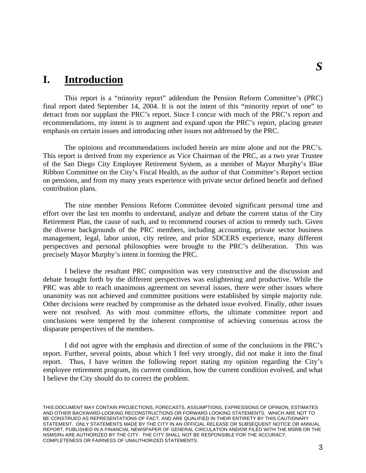### **I. Introduction**

 This report is a "minority report" addendum the Pension Reform Committee's (PRC) final report dated September 14, 2004. It is not the intent of this "minority report of one" to detract from nor supplant the PRC's report. Since I concur with much of the PRC's report and recommendations, my intent is to augment and expand upon the PRC's report, placing greater emphasis on certain issues and introducing other issues not addressed by the PRC.

 The opinions and recommendations included herein are mine alone and not the PRC's. This report is derived from my experience as Vice Chairman of the PRC, as a two year Trustee of the San Diego City Employee Retirement System, as a member of Mayor Murphy's Blue Ribbon Committee on the City's Fiscal Health, as the author of that Committee's Report section on pensions, and from my many years experience with private sector defined benefit and defined contribution plans.

 The nine member Pensions Reform Committee devoted significant personal time and effort over the last ten months to understand, analyze and debate the current status of the City Retirement Plan, the cause of such, and to recommend courses of action to remedy such. Given the diverse backgrounds of the PRC members, including accounting, private sector business management, legal, labor union, city retiree, and prior SDCERS experience, many different perspectives and personal philosophies were brought to the PRC's deliberation. This was precisely Mayor Murphy's intent in forming the PRC.

 I believe the resultant PRC composition was very constructive and the discussion and debate brought forth by the different perspectives was enlightening and productive. While the PRC was able to reach unanimous agreement on several issues, there were other issues where unanimity was not achieved and committee positions were established by simple majority rule. Other decisions were reached by compromise as the debated issue evolved. Finally, other issues were not resolved. As with most committee efforts, the ultimate committee report and conclusions were tempered by the inherent compromise of achieving consensus across the disparate perspectives of the members.

 I did not agree with the emphasis and direction of some of the conclusions in the PRC's report. Further, several points, about which I feel very strongly, did not make it into the final report. Thus, I have written the following report stating my opinion regarding the City's employee retirement program, its current condition, how the current condition evolved, and what I believe the City should do to correct the problem.

THIS DOCUMENT MAY CONTAIN PROJECTIONS, FORECASTS, ASSUMPTIONS, EXPRESSIONS OF OPINION, ESTIMATES AND OTHER BACKWARD-LOOKING RECONSTRUCTIONS OR FORWARD LOOKING STATEMENTS, WHICH ARE NOT TO BE CONSTRUED AS REPRESENTATIONS OF FACT, AND ARE QUALIFIED IN THEIR ENTIRETY BY THIS CAUTIONARY STATEMENT. ONLY STATEMENTS MADE BY THE CITY IN AN OFFICIAL RELEASE OR SUBSEQUENT NOTICE OR ANNUAL REPORT, PUBLISHED IN A FINANCIAL NEWSPAPER OF GENERAL CIRCULATION AND/OR FILED WITH THE MSRB OR THE NSMSIRs ARE AUTHORIZED BY THE CITY. THE CITY SHALL NOT BE RESPONSIBLE FOR THE ACCURACY, COMPLETENESS OR FAIRNESS OF UNAUTHORIZED STATEMENTS.

*S*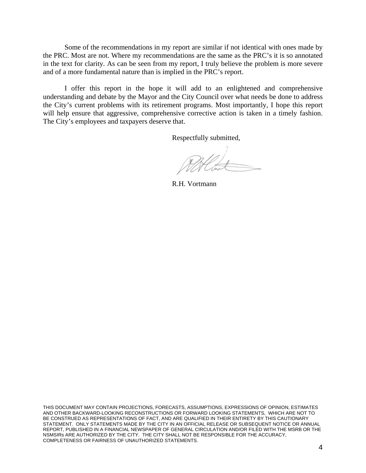Some of the recommendations in my report are similar if not identical with ones made by the PRC. Most are not. Where my recommendations are the same as the PRC's it is so annotated in the text for clarity. As can be seen from my report, I truly believe the problem is more severe and of a more fundamental nature than is implied in the PRC's report.

 I offer this report in the hope it will add to an enlightened and comprehensive understanding and debate by the Mayor and the City Council over what needs be done to address the City's current problems with its retirement programs. Most importantly, I hope this report will help ensure that aggressive, comprehensive corrective action is taken in a timely fashion. The City's employees and taxpayers deserve that.

Respectfully submitted,

R.H. Vortmann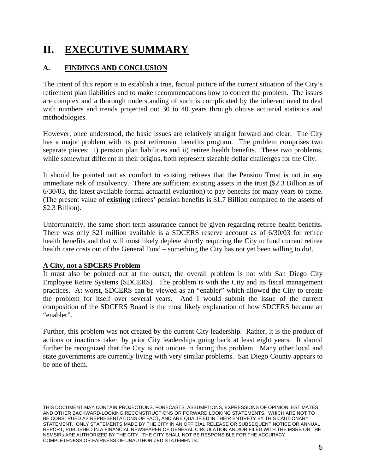### **II. EXECUTIVE SUMMARY**

#### **A. FINDINGS AND CONCLUSION**

The intent of this report is to establish a true, factual picture of the current situation of the City's retirement plan liabilities and to make recommendations how to correct the problem. The issues are complex and a thorough understanding of such is complicated by the inherent need to deal with numbers and trends projected out 30 to 40 years through obtuse actuarial statistics and methodologies.

However, once understood, the basic issues are relatively straight forward and clear. The City has a major problem with its post retirement benefits program. The problem comprises two separate pieces: i) pension plan liabilities and ii) retiree health benefits. These two problems, while somewhat different in their origins, both represent sizeable dollar challenges for the City.

It should be pointed out as comfort to existing retirees that the Pension Trust is not in any immediate risk of insolvency. There are sufficient existing assets in the trust (\$2.3 Billion as of 6/30/03, the latest available formal actuarial evaluation) to pay benefits for many years to come. (The present value of **existing** retirees' pension benefits is \$1.7 Billion compared to the assets of \$2.3 Billion).

Unfortunately, the same short term assurance cannot be given regarding retiree health benefits. There was only \$21 million available is a SDCERS reserve account as of 6/30/03 for retiree health benefits and that will most likely deplete shortly requiring the City to fund current retiree health care costs out of the General Fund – something the City has not yet been willing to do!.

#### **A City, not a SDCERS Problem**

It must also be pointed out at the outset, the overall problem is not with San Diego City Employee Retire Systems (SDCERS). The problem is with the City and its fiscal management practices. At worst, SDCERS can be viewed as an "enabler" which allowed the City to create the problem for itself over several years. And I would submit the issue of the current composition of the SDCERS Board is the most likely explanation of how SDCERS became an "enabler".

Further, this problem was not created by the current City leadership. Rather, it is the product of actions or inactions taken by prior City leaderships going back at least eight years. It should further be recognized that the City is not unique in facing this problem. Many other local and state governments are currently living with very similar problems. San Diego County appears to be one of them.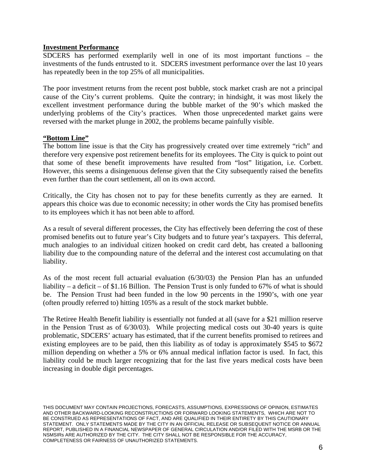#### **Investment Performance**

SDCERS has performed exemplarily well in one of its most important functions – the investments of the funds entrusted to it. SDCERS investment performance over the last 10 years has repeatedly been in the top 25% of all municipalities.

The poor investment returns from the recent post bubble, stock market crash are not a principal cause of the City's current problems. Quite the contrary; in hindsight, it was most likely the excellent investment performance during the bubble market of the 90's which masked the underlying problems of the City's practices. When those unprecedented market gains were reversed with the market plunge in 2002, the problems became painfully visible.

#### **"Bottom Line"**

The bottom line issue is that the City has progressively created over time extremely "rich" and therefore very expensive post retirement benefits for its employees. The City is quick to point out that some of these benefit improvements have resulted from "lost" litigation, i.e. Corbett. However, this seems a disingenuous defense given that the City subsequently raised the benefits even further than the court settlement, all on its own accord.

Critically, the City has chosen not to pay for these benefits currently as they are earned. It appears this choice was due to economic necessity; in other words the City has promised benefits to its employees which it has not been able to afford.

As a result of several different processes, the City has effectively been deferring the cost of these promised benefits out to future year's City budgets and to future year's taxpayers. This deferral, much analogies to an individual citizen hooked on credit card debt, has created a ballooning liability due to the compounding nature of the deferral and the interest cost accumulating on that liability.

As of the most recent full actuarial evaluation (6/30/03) the Pension Plan has an unfunded liability – a deficit – of \$1.16 Billion. The Pension Trust is only funded to 67% of what is should be. The Pension Trust had been funded in the low 90 percents in the 1990's, with one year (often proudly referred to) hitting 105% as a result of the stock market bubble.

The Retiree Health Benefit liability is essentially not funded at all (save for a \$21 million reserve in the Pension Trust as of 6/30/03). While projecting medical costs out 30-40 years is quite problematic, SDCERS' actuary has estimated, that if the current benefits promised to retirees and existing employees are to be paid, then this liability as of today is approximately \$545 to \$672 million depending on whether a 5% or 6% annual medical inflation factor is used. In fact, this liability could be much larger recognizing that for the last five years medical costs have been increasing in double digit percentages.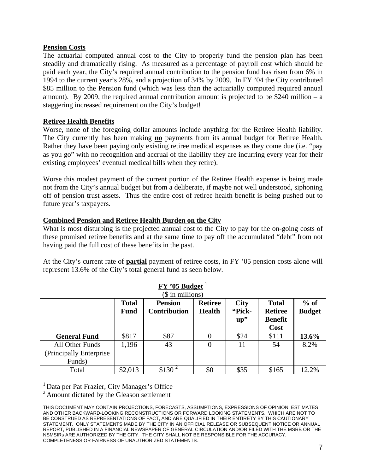#### **Pension Costs**

The actuarial computed annual cost to the City to properly fund the pension plan has been steadily and dramatically rising. As measured as a percentage of payroll cost which should be paid each year, the City's required annual contribution to the pension fund has risen from 6% in 1994 to the current year's 28%, and a projection of 34% by 2009. In FY '04 the City contributed \$85 million to the Pension fund (which was less than the actuarially computed required annual amount). By 2009, the required annual contribution amount is projected to be \$240 million – a staggering increased requirement on the City's budget!

#### **Retiree Health Benefits**

Worse, none of the foregoing dollar amounts include anything for the Retiree Health liability. The City currently has been making **no** payments from its annual budget for Retiree Health. Rather they have been paying only existing retiree medical expenses as they come due (i.e. "pay as you go" with no recognition and accrual of the liability they are incurring every year for their existing employees' eventual medical bills when they retire).

Worse this modest payment of the current portion of the Retiree Health expense is being made not from the City's annual budget but from a deliberate, if maybe not well understood, siphoning off of pension trust assets. Thus the entire cost of retiree health benefit is being pushed out to future year's taxpayers.

#### **Combined Pension and Retiree Health Burden on the City**

What is most disturbing is the projected annual cost to the City to pay for the on-going costs of these promised retiree benefits and at the same time to pay off the accumulated "debt" from not having paid the full cost of these benefits in the past.

At the City's current rate of **partial** payment of retiree costs, in FY '05 pension costs alone will represent 13.6% of the City's total general fund as seen below.

**FY '05 Budget** <sup>1</sup>

| гі<br><b>05 DUULCU</b>                               |                             |                                       |                                 |                              |                                                          |                         |
|------------------------------------------------------|-----------------------------|---------------------------------------|---------------------------------|------------------------------|----------------------------------------------------------|-------------------------|
| $($$ in millions)                                    |                             |                                       |                                 |                              |                                                          |                         |
|                                                      | <b>Total</b><br><b>Fund</b> | <b>Pension</b><br><b>Contribution</b> | <b>Retiree</b><br><b>Health</b> | <b>City</b><br>"Pick-<br>up" | <b>Total</b><br><b>Retiree</b><br><b>Benefit</b><br>Cost | $%$ of<br><b>Budget</b> |
| <b>General Fund</b>                                  | \$817                       | \$87                                  | 0                               | \$24                         | \$111                                                    | 13.6%                   |
| All Other Funds<br>(Principally Enterprise<br>Funds) | 1,196                       | 43                                    | $\overline{0}$                  | 11                           | 54                                                       | 8.2%                    |
| Total                                                | \$2,013                     | \$130                                 | \$0                             | \$35                         | \$165                                                    | 12.2%                   |

<sup>1</sup> Data per Pat Frazier, City Manager's Office

<sup>2</sup> Amount dictated by the Gleason settlement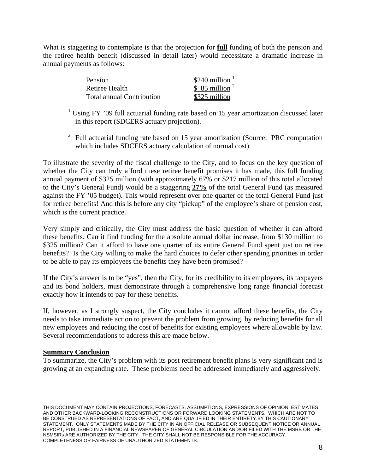What is staggering to contemplate is that the projection for **full** funding of both the pension and the retiree health benefit (discussed in detail later) would necessitate a dramatic increase in annual payments as follows:

| <b>Pension</b>                   | \$240 million $1$          |
|----------------------------------|----------------------------|
| Retiree Health                   | $$85$ million <sup>2</sup> |
| <b>Total annual Contribution</b> | \$325 million              |

<sup>1</sup> Using FY '09 full actuarial funding rate based on 15 year amortization discussed later in this report (SDCERS actuary projection).

2 Full actuarial funding rate based on 15 year amortization (Source: PRC computation which includes SDCERS actuary calculation of normal cost)

To illustrate the severity of the fiscal challenge to the City, and to focus on the key question of whether the City can truly afford these retiree benefit promises it has made, this full funding annual payment of \$325 million (with approximately 67% or \$217 million of this total allocated to the City's General Fund) would be a staggering **27%** of the total General Fund (as measured against the FY '05 budget). This would represent over one quarter of the total General Fund just for retiree benefits! And this is before any city "pickup" of the employee's share of pension cost, which is the current practice.

Very simply and critically, the City must address the basic question of whether it can afford these benefits. Can it find funding for the absolute annual dollar increase, from \$130 million to \$325 million? Can it afford to have one quarter of its entire General Fund spent just on retiree benefits? Is the City willing to make the hard choices to defer other spending priorities in order to be able to pay its employees the benefits they have been promised?

If the City's answer is to be "yes", then the City, for its credibility to its employees, its taxpayers and its bond holders, must demonstrate through a comprehensive long range financial forecast exactly how it intends to pay for these benefits.

If, however, as I strongly suspect, the City concludes it cannot afford these benefits, the City needs to take immediate action to prevent the problem from growing, by reducing benefits for all new employees and reducing the cost of benefits for existing employees where allowable by law. Several recommendations to address this are made below.

#### **Summary Conclusion**

To summarize, the City's problem with its post retirement benefit plans is very significant and is growing at an expanding rate. These problems need be addressed immediately and aggressively.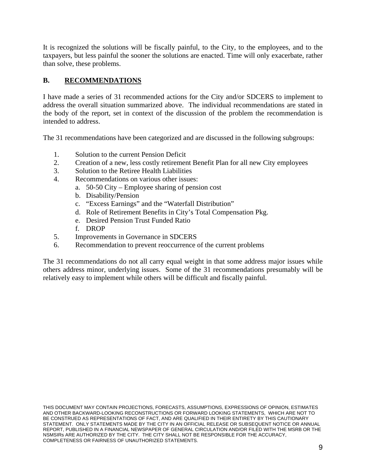It is recognized the solutions will be fiscally painful, to the City, to the employees, and to the taxpayers, but less painful the sooner the solutions are enacted. Time will only exacerbate, rather than solve, these problems.

#### **B. RECOMMENDATIONS**

I have made a series of 31 recommended actions for the City and/or SDCERS to implement to address the overall situation summarized above. The individual recommendations are stated in the body of the report, set in context of the discussion of the problem the recommendation is intended to address.

The 31 recommendations have been categorized and are discussed in the following subgroups:

- 1. Solution to the current Pension Deficit
- 2. Creation of a new, less costly retirement Benefit Plan for all new City employees
- 3. Solution to the Retiree Health Liabilities
- 4. Recommendations on various other issues:
	- a. 50-50 City Employee sharing of pension cost
	- b. Disability/Pension
	- c. "Excess Earnings" and the "Waterfall Distribution"
	- d. Role of Retirement Benefits in City's Total Compensation Pkg.
	- e. Desired Pension Trust Funded Ratio
	- f. DROP
- 5. Improvements in Governance in SDCERS
- 6. Recommendation to prevent reoccurrence of the current problems

The 31 recommendations do not all carry equal weight in that some address major issues while others address minor, underlying issues. Some of the 31 recommendations presumably will be relatively easy to implement while others will be difficult and fiscally painful.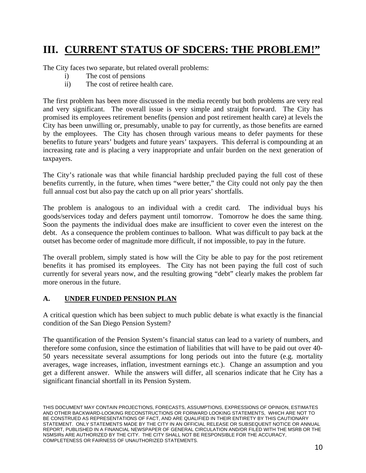### **III. CURRENT STATUS OF SDCERS: THE PROBLEM!"**

The City faces two separate, but related overall problems:

- i) The cost of pensions
- ii) The cost of retiree health care.

The first problem has been more discussed in the media recently but both problems are very real and very significant. The overall issue is very simple and straight forward. The City has promised its employees retirement benefits (pension and post retirement health care) at levels the City has been unwilling or, presumably, unable to pay for currently, as those benefits are earned by the employees. The City has chosen through various means to defer payments for these benefits to future years' budgets and future years' taxpayers. This deferral is compounding at an increasing rate and is placing a very inappropriate and unfair burden on the next generation of taxpayers.

The City's rationale was that while financial hardship precluded paying the full cost of these benefits currently, in the future, when times "were better," the City could not only pay the then full annual cost but also pay the catch up on all prior years' shortfalls.

The problem is analogous to an individual with a credit card. The individual buys his goods/services today and defers payment until tomorrow. Tomorrow he does the same thing. Soon the payments the individual does make are insufficient to cover even the interest on the debt. As a consequence the problem continues to balloon. What was difficult to pay back at the outset has become order of magnitude more difficult, if not impossible, to pay in the future.

The overall problem, simply stated is how will the City be able to pay for the post retirement benefits it has promised its employees. The City has not been paying the full cost of such currently for several years now, and the resulting growing "debt" clearly makes the problem far more onerous in the future.

#### **A. UNDER FUNDED PENSION PLAN**

A critical question which has been subject to much public debate is what exactly is the financial condition of the San Diego Pension System?

The quantification of the Pension System's financial status can lead to a variety of numbers, and therefore some confusion, since the estimation of liabilities that will have to be paid out over 40- 50 years necessitate several assumptions for long periods out into the future (e.g. mortality averages, wage increases, inflation, investment earnings etc.). Change an assumption and you get a different answer. While the answers will differ, all scenarios indicate that he City has a significant financial shortfall in its Pension System.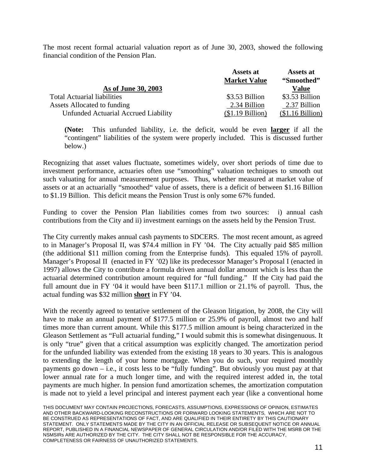The most recent formal actuarial valuation report as of June 30, 2003, showed the following financial condition of the Pension Plan.

|                                      | <b>Assets at</b>    | Assets at        |
|--------------------------------------|---------------------|------------------|
|                                      | <b>Market Value</b> | "Smoothed"       |
| As of June 30, 2003                  |                     | <b>Value</b>     |
| <b>Total Actuarial liabilities</b>   | \$3.53 Billion      | \$3.53 Billion   |
| Assets Allocated to funding          | 2.34 Billion        | 2.37 Billion     |
| Unfunded Actuarial Accrued Liability | $$1.19$ Billion)    | $$1.16$ Billion) |

**(Note:** This unfunded liability, i.e. the deficit, would be even **larger** if all the "contingent" liabilities of the system were properly included. This is discussed further below.)

Recognizing that asset values fluctuate, sometimes widely, over short periods of time due to investment performance, actuaries often use "smoothing" valuation techniques to smooth out such valuating for annual measurement purposes. Thus, whether measured at market value of assets or at an actuarially "smoothed" value of assets, there is a deficit of between \$1.16 Billion to \$1.19 Billion. This deficit means the Pension Trust is only some 67% funded.

Funding to cover the Pension Plan liabilities comes from two sources: i) annual cash contributions from the City and ii) investment earnings on the assets held by the Pension Trust.

The City currently makes annual cash payments to SDCERS. The most recent amount, as agreed to in Manager's Proposal II, was \$74.4 million in FY '04. The City actually paid \$85 million (the additional \$11 million coming from the Enterprise funds). This equaled 15% of payroll. Manager's Proposal II (enacted in FY '02) like its predecessor Manager's Proposal I (enacted in 1997) allows the City to contribute a formula driven annual dollar amount which is less than the actuarial determined contribution amount required for "full funding." If the City had paid the full amount due in FY '04 it would have been \$117.1 million or 21.1% of payroll. Thus, the actual funding was \$32 million **short** in FY '04.

With the recently agreed to tentative settlement of the Gleason litigation, by 2008, the City will have to make an annual payment of \$177.5 million or 25.9% of payroll, almost two and half times more than current amount. While this \$177.5 million amount is being characterized in the Gleason Settlement as "Full actuarial funding," I would submit this is somewhat disingenuous. It is only "true" given that a critical assumption was explicitly changed. The amortization period for the unfunded liability was extended from the existing 18 years to 30 years. This is analogous to extending the length of your home mortgage. When you do such, your required monthly payments go down – i.e., it costs less to be "fully funding". But obviously you must pay at that lower annual rate for a much longer time, and with the required interest added in, the total payments are much higher. In pension fund amortization schemes, the amortization computation is made not to yield a level principal and interest payment each year (like a conventional home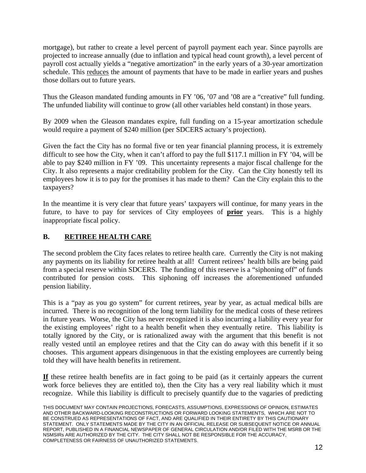mortgage), but rather to create a level percent of payroll payment each year. Since payrolls are projected to increase annually (due to inflation and typical head count growth), a level percent of payroll cost actually yields a "negative amortization" in the early years of a 30-year amortization schedule. This reduces the amount of payments that have to be made in earlier years and pushes those dollars out to future years.

Thus the Gleason mandated funding amounts in FY '06, '07 and '08 are a "creative" full funding. The unfunded liability will continue to grow (all other variables held constant) in those years.

By 2009 when the Gleason mandates expire, full funding on a 15-year amortization schedule would require a payment of \$240 million (per SDCERS actuary's projection).

Given the fact the City has no formal five or ten year financial planning process, it is extremely difficult to see how the City, when it can't afford to pay the full \$117.1 million in FY '04, will be able to pay \$240 million in FY '09. This uncertainty represents a major fiscal challenge for the City. It also represents a major creditability problem for the City. Can the City honestly tell its employees how it is to pay for the promises it has made to them? Can the City explain this to the taxpayers?

In the meantime it is very clear that future years' taxpayers will continue, for many years in the future, to have to pay for services of City employees of **prior** years. This is a highly inappropriate fiscal policy.

#### **B. RETIREE HEALTH CARE**

The second problem the City faces relates to retiree health care. Currently the City is not making any payments on its liability for retiree health at all! Current retirees' health bills are being paid from a special reserve within SDCERS. The funding of this reserve is a "siphoning off" of funds contributed for pension costs. This siphoning off increases the aforementioned unfunded pension liability.

This is a "pay as you go system" for current retirees, year by year, as actual medical bills are incurred. There is no recognition of the long term liability for the medical costs of these retirees in future years. Worse, the City has never recognized it is also incurring a liability every year for the existing employees' right to a health benefit when they eventually retire. This liability is totally ignored by the City, or is rationalized away with the argument that this benefit is not really vested until an employee retires and that the City can do away with this benefit if it so chooses. This argument appears disingenuous in that the existing employees are currently being told they will have health benefits in retirement.

**If** these retiree health benefits are in fact going to be paid (as it certainly appears the current work force believes they are entitled to), then the City has a very real liability which it must recognize. While this liability is difficult to precisely quantify due to the vagaries of predicting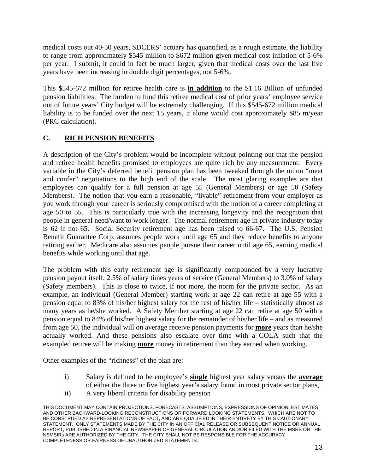medical costs out 40-50 years, SDCERS' actuary has quantified, as a rough estimate, the liability to range from approximately \$545 million to \$672 million given medical cost inflation of 5-6% per year. I submit, it could in fact be much larger, given that medical costs over the last five years have been increasing in double digit percentages, not 5-6%.

This \$545-672 million for retiree health care is **in addition** to the \$1.16 Billion of unfunded pension liabilities. The burden to fund this retiree medical cost of prior years' employee service out of future years' City budget will be extremely challenging. If this \$545-672 million medical liability is to be funded over the next 15 years, it alone would cost approximately \$85 m/year (PRC calculation).

#### **C. RICH PENSION BENEFITS**

A description of the City's problem would be incomplete without pointing out that the pension and retiree health benefits promised to employees are quite rich by any measurement. Every variable in the City's deferred benefit pension plan has been tweaked through the union "meet and confer" negotiations to the high end of the scale. The most glaring examples are that employees can qualify for a full pension at age 55 (General Members) or age 50 (Safety Members). The notion that you earn a reasonable, "livable" retirement from your employer as you work through your career is seriously compromised with the notion of a career completing at age 50 to 55. This is particularly true with the increasing longevity and the recognition that people in general need/want to work longer. The normal retirement age in private industry today is 62 if not 65. Social Security retirement age has been raised to 66-67. The U.S. Pension Benefit Guarantee Corp. assumes people work until age 65 and they reduce benefits to anyone retiring earlier. Medicare also assumes people pursue their career until age 65, earning medical benefits while working until that age.

The problem with this early retirement age is significantly compounded by a very lucrative pension payout itself, 2.5% of salary times years of service (General Members) to 3.0% of salary (Safety members). This is close to twice, if not more, the norm for the private sector. As an example, an individual (General Member) starting work at age 22 can retire at age 55 with a pension equal to 83% of his/her highest salary for the rest of his/her life – statistically almost as many years as he/she worked. A Safety Member starting at age 22 can retire at age 50 with a pension equal to 84% of his/her highest salary for the remainder of his/her life – and as measured from age 50, the individual will on average receive pension payments for **more** years than he/she actually worked. And these pensions also escalate over time with a COLA such that the exampled retiree will be making **more** money in retirement than they earned when working.

Other examples of the "richness" of the plan are:

- i) Salary is defined to be employee's **single** highest year salary versus the **average** of either the three or five highest year's salary found in most private sector plans,
- ii) A very liberal criteria for disability pension

THIS DOCUMENT MAY CONTAIN PROJECTIONS, FORECASTS, ASSUMPTIONS, EXPRESSIONS OF OPINION, ESTIMATES AND OTHER BACKWARD-LOOKING RECONSTRUCTIONS OR FORWARD LOOKING STATEMENTS, WHICH ARE NOT TO BE CONSTRUED AS REPRESENTATIONS OF FACT, AND ARE QUALIFIED IN THEIR ENTIRETY BY THIS CAUTIONARY STATEMENT. ONLY STATEMENTS MADE BY THE CITY IN AN OFFICIAL RELEASE OR SUBSEQUENT NOTICE OR ANNUAL REPORT, PUBLISHED IN A FINANCIAL NEWSPAPER OF GENERAL CIRCULATION AND/OR FILED WITH THE MSRB OR THE NSMSIRs ARE AUTHORIZED BY THE CITY. THE CITY SHALL NOT BE RESPONSIBLE FOR THE ACCURACY, COMPLETENESS OR FAIRNESS OF UNAUTHORIZED STATEMENTS.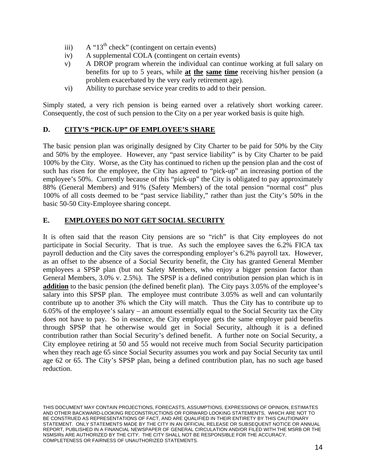- iii)  $A''13^{th}$  check" (contingent on certain events)
- iv) A supplemental COLA (contingent on certain events)
- v) A DROP program wherein the individual can continue working at full salary on benefits for up to 5 years, while **at the same time** receiving his/her pension (a problem exacerbated by the very early retirement age).
- vi) Ability to purchase service year credits to add to their pension.

Simply stated, a very rich pension is being earned over a relatively short working career. Consequently, the cost of such pension to the City on a per year worked basis is quite high.

#### **D. CITY'S "PICK-UP" OF EMPLOYEE'S SHARE**

The basic pension plan was originally designed by City Charter to be paid for 50% by the City and 50% by the employee. However, any "past service liability" is by City Charter to be paid 100% by the City. Worse, as the City has continued to richen up the pension plan and the cost of such has risen for the employee, the City has agreed to "pick-up" an increasing portion of the employee's 50%. Currently because of this "pick-up" the City is obligated to pay approximately 88% (General Members) and 91% (Safety Members) of the total pension "normal cost" plus 100% of all costs deemed to be "past service liability," rather than just the City's 50% in the basic 50-50 City-Employee sharing concept.

#### **E. EMPLOYEES DO NOT GET SOCIAL SECURITY**

It is often said that the reason City pensions are so "rich" is that City employees do not participate in Social Security. That is true. As such the employee saves the 6.2% FICA tax payroll deduction and the City saves the corresponding employer's 6.2% payroll tax. However, as an offset to the absence of a Social Security benefit, the City has granted General Member employees a SPSP plan (but not Safety Members, who enjoy a bigger pension factor than General Members, 3.0% v. 2.5%). The SPSP is a defined contribution pension plan which is in **addition** to the basic pension (the defined benefit plan). The City pays 3.05% of the employee's salary into this SPSP plan. The employee must contribute 3.05% as well and can voluntarily contribute up to another 3% which the City will match. Thus the City has to contribute up to 6.05% of the employee's salary – an amount essentially equal to the Social Security tax the City does not have to pay. So in essence, the City employee gets the same employer paid benefits through SPSP that he otherwise would get in Social Security, although it is a defined contribution rather than Social Security's defined benefit. A further note on Social Security, a City employee retiring at 50 and 55 would not receive much from Social Security participation when they reach age 65 since Social Security assumes you work and pay Social Security tax until age 62 or 65. The City's SPSP plan, being a defined contribution plan, has no such age based reduction.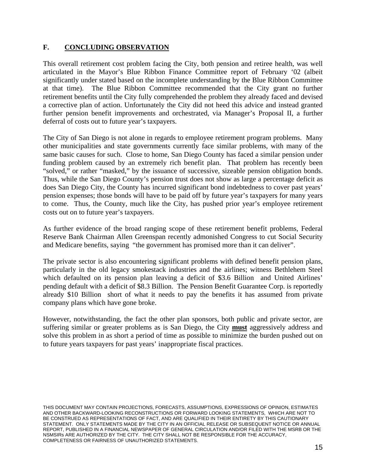#### **F. CONCLUDING OBSERVATION**

This overall retirement cost problem facing the City, both pension and retiree health, was well articulated in the Mayor's Blue Ribbon Finance Committee report of February '02 (albeit significantly under stated based on the incomplete understanding by the Blue Ribbon Committee at that time). The Blue Ribbon Committee recommended that the City grant no further retirement benefits until the City fully comprehended the problem they already faced and devised a corrective plan of action. Unfortunately the City did not heed this advice and instead granted further pension benefit improvements and orchestrated, via Manager's Proposal II, a further deferral of costs out to future year's taxpayers.

The City of San Diego is not alone in regards to employee retirement program problems. Many other municipalities and state governments currently face similar problems, with many of the same basic causes for such. Close to home, San Diego County has faced a similar pension under funding problem caused by an extremely rich benefit plan. That problem has recently been "solved," or rather "masked," by the issuance of successive, sizeable pension obligation bonds. Thus, while the San Diego County's pension trust does not show as large a percentage deficit as does San Diego City, the County has incurred significant bond indebtedness to cover past years' pension expenses; those bonds will have to be paid off by future year's taxpayers for many years to come. Thus, the County, much like the City, has pushed prior year's employee retirement costs out on to future year's taxpayers.

As further evidence of the broad ranging scope of these retirement benefit problems, Federal Reserve Bank Chairman Allen Greenspan recently admonished Congress to cut Social Security and Medicare benefits, saying "the government has promised more than it can deliver".

The private sector is also encountering significant problems with defined benefit pension plans, particularly in the old legacy smokestack industries and the airlines; witness Bethlehem Steel which defaulted on its pension plan leaving a deficit of \$3.6 Billion and United Airlines' pending default with a deficit of \$8.3 Billion. The Pension Benefit Guarantee Corp. is reportedly already \$10 Billion short of what it needs to pay the benefits it has assumed from private company plans which have gone broke.

However, notwithstanding, the fact the other plan sponsors, both public and private sector, are suffering similar or greater problems as is San Diego, the City **must** aggressively address and solve this problem in as short a period of time as possible to minimize the burden pushed out on to future years taxpayers for past years' inappropriate fiscal practices.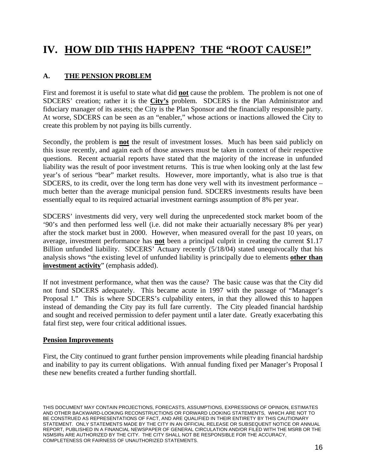### **IV. HOW DID THIS HAPPEN? THE "ROOT CAUSE!"**

#### **A. THE PENSION PROBLEM**

First and foremost it is useful to state what did **not** cause the problem. The problem is not one of SDCERS' creation; rather it is the **City's** problem. SDCERS is the Plan Administrator and fiduciary manager of its assets; the City is the Plan Sponsor and the financially responsible party. At worse, SDCERS can be seen as an "enabler," whose actions or inactions allowed the City to create this problem by not paying its bills currently.

Secondly, the problem is **not** the result of investment losses. Much has been said publicly on this issue recently, and again each of those answers must be taken in context of their respective questions. Recent actuarial reports have stated that the majority of the increase in unfunded liability was the result of poor investment returns. This is true when looking only at the last few year's of serious "bear" market results. However, more importantly, what is also true is that SDCERS, to its credit, over the long term has done very well with its investment performance – much better than the average municipal pension fund. SDCERS investments results have been essentially equal to its required actuarial investment earnings assumption of 8% per year.

SDCERS' investments did very, very well during the unprecedented stock market boom of the '90's and then performed less well (i.e. did not make their actuarially necessary 8% per year) after the stock market bust in 2000. However, when measured overall for the past 10 years, on average, investment performance has **not** been a principal culprit in creating the current \$1.17 Billion unfunded liability. SDCERS' Actuary recently (5/18/04) stated unequivocally that his analysis shows "the existing level of unfunded liability is principally due to elements **other than investment activity**" (emphasis added).

If not investment performance, what then was the cause? The basic cause was that the City did not fund SDCERS adequately. This became acute in 1997 with the passage of "Manager's Proposal I." This is where SDCERS's culpability enters, in that they allowed this to happen instead of demanding the City pay its full fare currently. The City pleaded financial hardship and sought and received permission to defer payment until a later date. Greatly exacerbating this fatal first step, were four critical additional issues.

#### **Pension Improvements**

First, the City continued to grant further pension improvements while pleading financial hardship and inability to pay its current obligations. With annual funding fixed per Manager's Proposal I these new benefits created a further funding shortfall.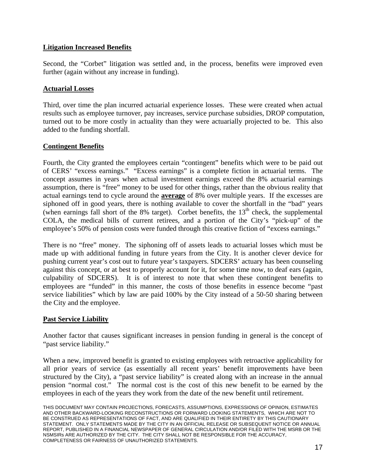#### **Litigation Increased Benefits**

Second, the "Corbet" litigation was settled and, in the process, benefits were improved even further (again without any increase in funding).

#### **Actuarial Losses**

Third, over time the plan incurred actuarial experience losses. These were created when actual results such as employee turnover, pay increases, service purchase subsidies, DROP computation, turned out to be more costly in actuality than they were actuarially projected to be. This also added to the funding shortfall.

#### **Contingent Benefits**

Fourth, the City granted the employees certain "contingent" benefits which were to be paid out of CERS' "excess earnings." "Excess earnings" is a complete fiction in actuarial terms. The concept assumes in years when actual investment earnings exceed the 8% actuarial earnings assumption, there is "free" money to be used for other things, rather than the obvious reality that actual earnings tend to cycle around the **average** of 8% over multiple years. If the excesses are siphoned off in good years, there is nothing available to cover the shortfall in the "bad" years (when earnings fall short of the 8% target). Corbet benefits, the  $13<sup>th</sup>$  check, the supplemental COLA, the medical bills of current retirees, and a portion of the City's "pick-up" of the employee's 50% of pension costs were funded through this creative fiction of "excess earnings."

There is no "free" money. The siphoning off of assets leads to actuarial losses which must be made up with additional funding in future years from the City. It is another clever device for pushing current year's cost out to future year's taxpayers. SDCERS' actuary has been counseling against this concept, or at best to properly account for it, for some time now, to deaf ears (again, culpability of SDCERS). It is of interest to note that when these contingent benefits to employees are "funded" in this manner, the costs of those benefits in essence become "past service liabilities" which by law are paid 100% by the City instead of a 50-50 sharing between the City and the employee.

#### **Past Service Liability**

Another factor that causes significant increases in pension funding in general is the concept of "past service liability."

When a new, improved benefit is granted to existing employees with retroactive applicability for all prior years of service (as essentially all recent years' benefit improvements have been structured by the City), a "past service liability" is created along with an increase in the annual pension "normal cost." The normal cost is the cost of this new benefit to be earned by the employees in each of the years they work from the date of the new benefit until retirement.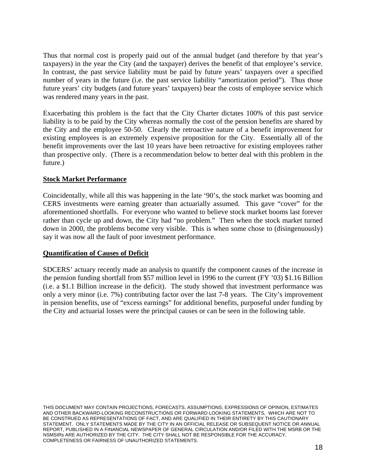Thus that normal cost is properly paid out of the annual budget (and therefore by that year's taxpayers) in the year the City (and the taxpayer) derives the benefit of that employee's service. In contrast, the past service liability must be paid by future years' taxpayers over a specified number of years in the future (i.e. the past service liability "amortization period"). Thus those future years' city budgets (and future years' taxpayers) bear the costs of employee service which was rendered many years in the past.

Exacerbating this problem is the fact that the City Charter dictates 100% of this past service liability is to be paid by the City whereas normally the cost of the pension benefits are shared by the City and the employee 50-50. Clearly the retroactive nature of a benefit improvement for existing employees is an extremely expensive proposition for the City. Essentially all of the benefit improvements over the last 10 years have been retroactive for existing employees rather than prospective only. (There is a recommendation below to better deal with this problem in the future.)

#### **Stock Market Performance**

Coincidentally, while all this was happening in the late '90's, the stock market was booming and CERS investments were earning greater than actuarially assumed. This gave "cover" for the aforementioned shortfalls. For everyone who wanted to believe stock market booms last forever rather than cycle up and down, the City had "no problem." Then when the stock market turned down in 2000, the problems become very visible. This is when some chose to (disingenuously) say it was now all the fault of poor investment performance.

#### **Quantification of Causes of Deficit**

SDCERS' actuary recently made an analysis to quantify the component causes of the increase in the pension funding shortfall from \$57 million level in 1996 to the current (FY '03) \$1.16 Billion (i.e. a \$1.1 Billion increase in the deficit). The study showed that investment performance was only a very minor (i.e. 7%) contributing factor over the last 7-8 years. The City's improvement in pension benefits, use of "excess earnings" for additional benefits, purposeful under funding by the City and actuarial losses were the principal causes or can be seen in the following table.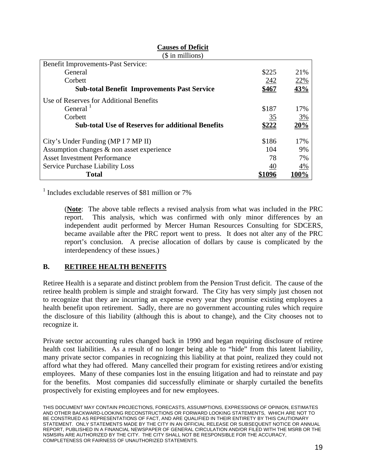| $\varphi$ and annually $\pi$                             |           |     |
|----------------------------------------------------------|-----------|-----|
| <b>Benefit Improvements-Past Service:</b>                |           |     |
| General                                                  | \$225     | 21% |
| Corbett                                                  | 242       | 22% |
| <b>Sub-total Benefit Improvements Past Service</b>       | \$467     | 43% |
| Use of Reserves for Additional Benefits                  |           |     |
| General $^1$                                             | \$187     | 17% |
| Corbett                                                  | <u>35</u> | 3%  |
| <b>Sub-total Use of Reserves for additional Benefits</b> | 6222      | 20% |
| City's Under Funding (MP I 7 MP II)                      | \$186     | 17% |
| Assumption changes & non asset experience                | 104       | 9%  |
| <b>Asset Investment Performance</b>                      | 78        | 7%  |
| <b>Service Purchase Liability Loss</b>                   | 40        | 4%  |
| <b>Total</b>                                             |           |     |

#### **Causes of Deficit**

 $($ \$ in millions)

<sup>1</sup> Includes excludable reserves of \$81 million or 7%

(**Note**: The above table reflects a revised analysis from what was included in the PRC report. This analysis, which was confirmed with only minor differences by an independent audit performed by Mercer Human Resources Consulting for SDCERS, became available after the PRC report went to press. It does not alter any of the PRC report's conclusion. A precise allocation of dollars by cause is complicated by the interdependency of these issues.)

#### **B. RETIREE HEALTH BENEFITS**

Retiree Health is a separate and distinct problem from the Pension Trust deficit. The cause of the retiree health problem is simple and straight forward. The City has very simply just chosen not to recognize that they are incurring an expense every year they promise existing employees a health benefit upon retirement. Sadly, there are no government accounting rules which require the disclosure of this liability (although this is about to change), and the City chooses not to recognize it.

Private sector accounting rules changed back in 1990 and began requiring disclosure of retiree health cost liabilities. As a result of no longer being able to "hide" from this latent liability, many private sector companies in recognizing this liability at that point, realized they could not afford what they had offered. Many cancelled their program for existing retirees and/or existing employees. Many of these companies lost in the ensuing litigation and had to reinstate and pay for the benefits. Most companies did successfully eliminate or sharply curtailed the benefits prospectively for existing employees and for new employees.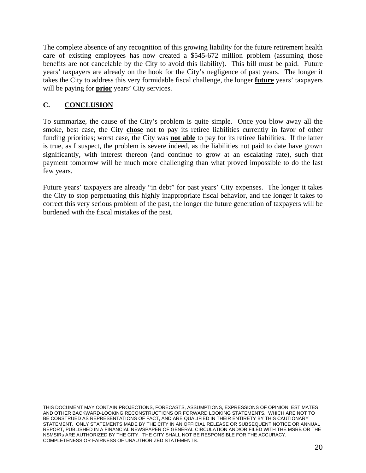The complete absence of any recognition of this growing liability for the future retirement health care of existing employees has now created a \$545-672 million problem (assuming those benefits are not cancelable by the City to avoid this liability). This bill must be paid. Future years' taxpayers are already on the hook for the City's negligence of past years. The longer it takes the City to address this very formidable fiscal challenge, the longer **future** years' taxpayers will be paying for **prior** years' City services.

#### **C. CONCLUSION**

To summarize, the cause of the City's problem is quite simple. Once you blow away all the smoke, best case, the City **chose** not to pay its retiree liabilities currently in favor of other funding priorities; worst case, the City was **not able** to pay for its retiree liabilities. If the latter is true, as I suspect, the problem is severe indeed, as the liabilities not paid to date have grown significantly, with interest thereon (and continue to grow at an escalating rate), such that payment tomorrow will be much more challenging than what proved impossible to do the last few years.

Future years' taxpayers are already "in debt" for past years' City expenses. The longer it takes the City to stop perpetuating this highly inappropriate fiscal behavior, and the longer it takes to correct this very serious problem of the past, the longer the future generation of taxpayers will be burdened with the fiscal mistakes of the past.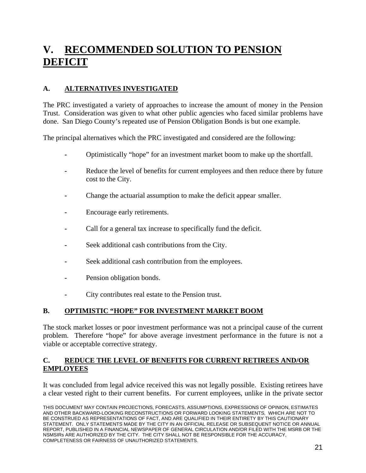### **V. RECOMMENDED SOLUTION TO PENSION DEFICIT**

#### **A. ALTERNATIVES INVESTIGATED**

The PRC investigated a variety of approaches to increase the amount of money in the Pension Trust. Consideration was given to what other public agencies who faced similar problems have done. San Diego County's repeated use of Pension Obligation Bonds is but one example.

The principal alternatives which the PRC investigated and considered are the following:

- Optimistically "hope" for an investment market boom to make up the shortfall.
- Reduce the level of benefits for current employees and then reduce there by future cost to the City.
- **-** Change the actuarial assumption to make the deficit appear smaller.
- Encourage early retirements.
- Call for a general tax increase to specifically fund the deficit.
- Seek additional cash contributions from the City.
- Seek additional cash contribution from the employees.
- Pension obligation bonds.
- City contributes real estate to the Pension trust.

#### **B. OPTIMISTIC "HOPE" FOR INVESTMENT MARKET BOOM**

The stock market losses or poor investment performance was not a principal cause of the current problem. Therefore "hope" for above average investment performance in the future is not a viable or acceptable corrective strategy.

#### **C. REDUCE THE LEVEL OF BENEFITS FOR CURRENT RETIREES AND/OR EMPLOYEES**

It was concluded from legal advice received this was not legally possible. Existing retirees have a clear vested right to their current benefits. For current employees, unlike in the private sector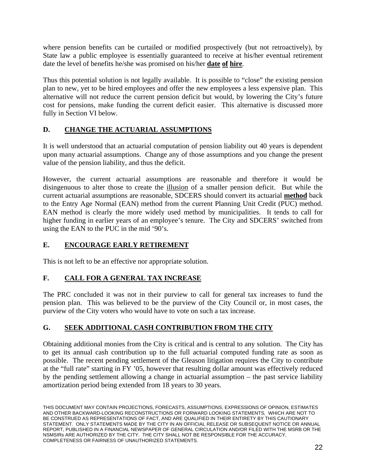where pension benefits can be curtailed or modified prospectively (but not retroactively), by State law a public employee is essentially guaranteed to receive at his/her eventual retirement date the level of benefits he/she was promised on his/her **date of hire**.

Thus this potential solution is not legally available. It is possible to "close" the existing pension plan to new, yet to be hired employees and offer the new employees a less expensive plan. This alternative will not reduce the current pension deficit but would, by lowering the City's future cost for pensions, make funding the current deficit easier. This alternative is discussed more fully in Section VI below.

#### **D. CHANGE THE ACTUARIAL ASSUMPTIONS**

It is well understood that an actuarial computation of pension liability out 40 years is dependent upon many actuarial assumptions. Change any of those assumptions and you change the present value of the pension liability, and thus the deficit.

However, the current actuarial assumptions are reasonable and therefore it would be disingenuous to alter those to create the illusion of a smaller pension deficit. But while the current actuarial assumptions are reasonable, SDCERS should convert its actuarial **method** back to the Entry Age Normal (EAN) method from the current Planning Unit Credit (PUC) method. EAN method is clearly the more widely used method by municipalities. It tends to call for higher funding in earlier years of an employee's tenure. The City and SDCERS' switched from using the EAN to the PUC in the mid '90's.

#### **E. ENCOURAGE EARLY RETIREMENT**

This is not left to be an effective nor appropriate solution.

#### **F. CALL FOR A GENERAL TAX INCREASE**

The PRC concluded it was not in their purview to call for general tax increases to fund the pension plan. This was believed to be the purview of the City Council or, in most cases, the purview of the City voters who would have to vote on such a tax increase.

#### **G. SEEK ADDITIONAL CASH CONTRIBUTION FROM THE CITY**

Obtaining additional monies from the City is critical and is central to any solution. The City has to get its annual cash contribution up to the full actuarial computed funding rate as soon as possible. The recent pending settlement of the Gleason litigation requires the City to contribute at the "full rate" starting in FY '05, however that resulting dollar amount was effectively reduced by the pending settlement allowing a change in actuarial assumption – the past service liability amortization period being extended from 18 years to 30 years.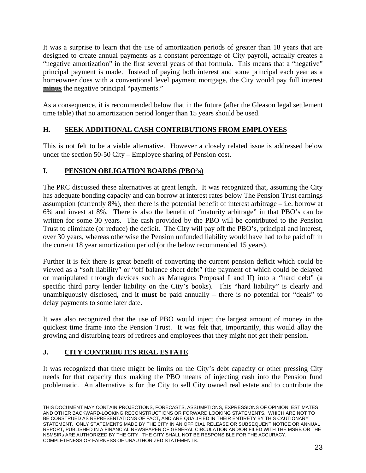It was a surprise to learn that the use of amortization periods of greater than 18 years that are designed to create annual payments as a constant percentage of City payroll, actually creates a "negative amortization" in the first several years of that formula. This means that a "negative" principal payment is made. Instead of paying both interest and some principal each year as a homeowner does with a conventional level payment mortgage, the City would pay full interest minus the negative principal "payments."

As a consequence, it is recommended below that in the future (after the Gleason legal settlement time table) that no amortization period longer than 15 years should be used.

#### **H. SEEK ADDITIONAL CASH CONTRIBUTIONS FROM EMPLOYEES**

This is not felt to be a viable alternative. However a closely related issue is addressed below under the section 50-50 City – Employee sharing of Pension cost.

#### **I. PENSION OBLIGATION BOARDS (PBO's)**

The PRC discussed these alternatives at great length. It was recognized that, assuming the City has adequate bonding capacity and can borrow at interest rates below The Pension Trust earnings assumption (currently 8%), then there is the potential benefit of interest arbitrage – i.e. borrow at 6% and invest at 8%. There is also the benefit of "maturity arbitrage" in that PBO's can be written for some 30 years. The cash provided by the PBO will be contributed to the Pension Trust to eliminate (or reduce) the deficit. The City will pay off the PBO's, principal and interest, over 30 years, whereas otherwise the Pension unfunded liability would have had to be paid off in the current 18 year amortization period (or the below recommended 15 years).

Further it is felt there is great benefit of converting the current pension deficit which could be viewed as a "soft liability" or "off balance sheet debt" (the payment of which could be delayed or manipulated through devices such as Managers Proposal I and II) into a "hard debt" (a specific third party lender liability on the City's books). This "hard liability" is clearly and unambiguously disclosed, and it **must** be paid annually – there is no potential for "deals" to delay payments to some later date.

It was also recognized that the use of PBO would inject the largest amount of money in the quickest time frame into the Pension Trust. It was felt that, importantly, this would allay the growing and disturbing fears of retirees and employees that they might not get their pension.

#### **J. CITY CONTRIBUTES REAL ESTATE**

It was recognized that there might be limits on the City's debt capacity or other pressing City needs for that capacity thus making the PBO means of injecting cash into the Pension fund problematic. An alternative is for the City to sell City owned real estate and to contribute the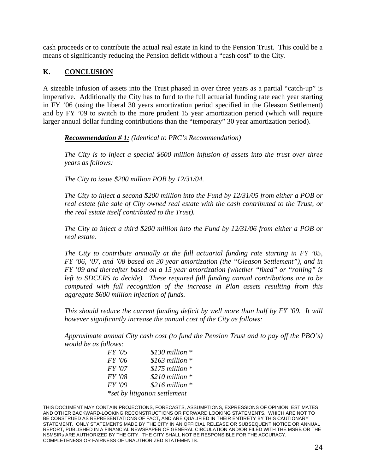cash proceeds or to contribute the actual real estate in kind to the Pension Trust. This could be a means of significantly reducing the Pension deficit without a "cash cost" to the City.

#### **K. CONCLUSION**

A sizeable infusion of assets into the Trust phased in over three years as a partial "catch-up" is imperative. Additionally the City has to fund to the full actuarial funding rate each year starting in FY '06 (using the liberal 30 years amortization period specified in the Gleason Settlement) and by FY '09 to switch to the more prudent 15 year amortization period (which will require larger annual dollar funding contributions than the "temporary" 30 year amortization period).

#### *Recommendation # 1: (Identical to PRC's Recommendation)*

*The City is to inject a special \$600 million infusion of assets into the trust over three years as follows:* 

*The City to issue \$200 million POB by 12/31/04.* 

*The City to inject a second \$200 million into the Fund by 12/31/05 from either a POB or real estate (the sale of City owned real estate with the cash contributed to the Trust, or the real estate itself contributed to the Trust).* 

*The City to inject a third \$200 million into the Fund by 12/31/06 from either a POB or real estate.* 

*The City to contribute annually at the full actuarial funding rate starting in FY '05, FY '06, '07, and '08 based on 30 year amortization (the "Gleason Settlement"), and in FY '09 and thereafter based on a 15 year amortization (whether "fixed" or "rolling" is left to SDCERS to decide). These required full funding annual contributions are to be computed with full recognition of the increase in Plan assets resulting from this aggregate \$600 million injection of funds.* 

*This should reduce the current funding deficit by well more than half by FY '09. It will however significantly increase the annual cost of the City as follows:* 

*Approximate annual City cash cost (to fund the Pension Trust and to pay off the PBO's) would be as follows:* 

| FY'05         | $$130$ million $*$            |
|---------------|-------------------------------|
| <i>FY</i> '06 | $$163$ million $*$            |
| FY'07         | $$175$ million $*$            |
| FY'08         | \$210 million $*$             |
| FY '09        | \$216 million $*$             |
|               | *set by litigation settlement |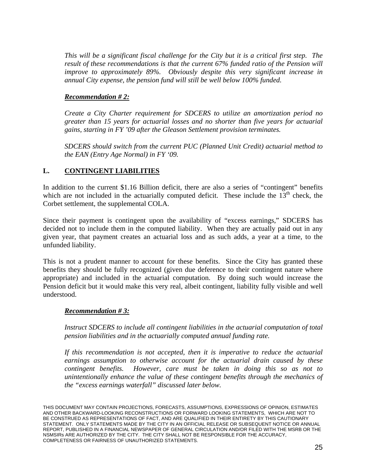*This will be a significant fiscal challenge for the City but it is a critical first step. The result of these recommendations is that the current 67% funded ratio of the Pension will improve to approximately 89%. Obviously despite this very significant increase in annual City expense, the pension fund will still be well below 100% funded.* 

#### *Recommendation # 2:*

*Create a City Charter requirement for SDCERS to utilize an amortization period no greater than 15 years for actuarial losses and no shorter than five years for actuarial gains, starting in FY '09 after the Gleason Settlement provision terminates.* 

*SDCERS should switch from the current PUC (Planned Unit Credit) actuarial method to the EAN (Entry Age Normal) in FY '09.* 

#### **L. CONTINGENT LIABILITIES**

In addition to the current \$1.16 Billion deficit, there are also a series of "contingent" benefits which are not included in the actuarially computed deficit. These include the  $13<sup>th</sup>$  check, the Corbet settlement, the supplemental COLA.

Since their payment is contingent upon the availability of "excess earnings," SDCERS has decided not to include them in the computed liability. When they are actually paid out in any given year, that payment creates an actuarial loss and as such adds, a year at a time, to the unfunded liability.

This is not a prudent manner to account for these benefits. Since the City has granted these benefits they should be fully recognized (given due deference to their contingent nature where appropriate) and included in the actuarial computation. By doing such would increase the Pension deficit but it would make this very real, albeit contingent, liability fully visible and well understood.

#### *Recommendation # 3:*

*Instruct SDCERS to include all contingent liabilities in the actuarial computation of total pension liabilities and in the actuarially computed annual funding rate.* 

*If this recommendation is not accepted, then it is imperative to reduce the actuarial earnings assumption to otherwise account for the actuarial drain caused by these contingent benefits. However, care must be taken in doing this so as not to unintentionally enhance the value of these contingent benefits through the mechanics of the "excess earnings waterfall" discussed later below.*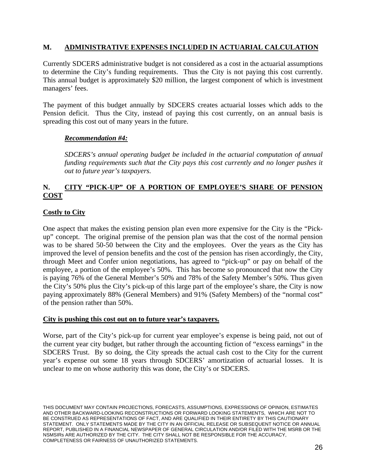#### **M. ADMINISTRATIVE EXPENSES INCLUDED IN ACTUARIAL CALCULATION**

Currently SDCERS administrative budget is not considered as a cost in the actuarial assumptions to determine the City's funding requirements. Thus the City is not paying this cost currently. This annual budget is approximately \$20 million, the largest component of which is investment managers' fees.

The payment of this budget annually by SDCERS creates actuarial losses which adds to the Pension deficit. Thus the City, instead of paying this cost currently, on an annual basis is spreading this cost out of many years in the future.

#### *Recommendation #4:*

*SDCERS's annual operating budget be included in the actuarial computation of annual funding requirements such that the City pays this cost currently and no longer pushes it out to future year's taxpayers.* 

#### **N. CITY "PICK-UP" OF A PORTION OF EMPLOYEE'S SHARE OF PENSION COST**

#### **Costly to City**

One aspect that makes the existing pension plan even more expensive for the City is the "Pickup" concept. The original premise of the pension plan was that the cost of the normal pension was to be shared 50-50 between the City and the employees. Over the years as the City has improved the level of pension benefits and the cost of the pension has risen accordingly, the City, through Meet and Confer union negotiations, has agreed to "pick-up" or pay on behalf of the employee, a portion of the employee's 50%. This has become so pronounced that now the City is paying 76% of the General Member's 50% and 78% of the Safety Member's 50%. Thus given the City's 50% plus the City's pick-up of this large part of the employee's share, the City is now paying approximately 88% (General Members) and 91% (Safety Members) of the "normal cost" of the pension rather than 50%.

#### **City is pushing this cost out on to future year's taxpayers.**

Worse, part of the City's pick-up for current year employee's expense is being paid, not out of the current year city budget, but rather through the accounting fiction of "excess earnings" in the SDCERS Trust. By so doing, the City spreads the actual cash cost to the City for the current year's expense out some 18 years through SDCERS' amortization of actuarial losses. It is unclear to me on whose authority this was done, the City's or SDCERS.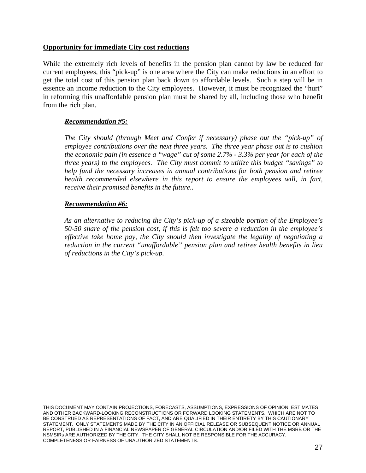#### **Opportunity for immediate City cost reductions**

While the extremely rich levels of benefits in the pension plan cannot by law be reduced for current employees, this "pick-up" is one area where the City can make reductions in an effort to get the total cost of this pension plan back down to affordable levels. Such a step will be in essence an income reduction to the City employees. However, it must be recognized the "hurt" in reforming this unaffordable pension plan must be shared by all, including those who benefit from the rich plan.

#### *Recommendation #5:*

*The City should (through Meet and Confer if necessary) phase out the "pick-up" of employee contributions over the next three years. The three year phase out is to cushion the economic pain (in essence a "wage" cut of some 2.7% - 3.3% per year for each of the three years) to the employees. The City must commit to utilize this budget "savings" to help fund the necessary increases in annual contributions for both pension and retiree health recommended elsewhere in this report to ensure the employees will, in fact, receive their promised benefits in the future..* 

#### *Recommendation #6:*

*As an alternative to reducing the City's pick-up of a sizeable portion of the Employee's 50-50 share of the pension cost, if this is felt too severe a reduction in the employee's effective take home pay, the City should then investigate the legality of negotiating a reduction in the current "unaffordable" pension plan and retiree health benefits in lieu of reductions in the City's pick-up.*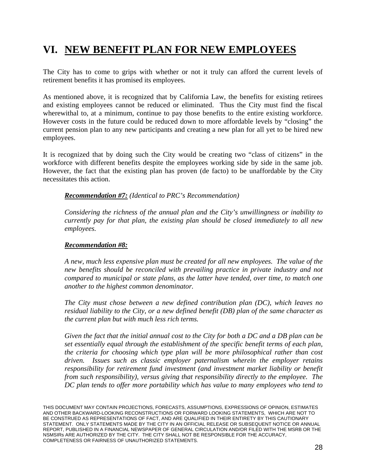### **VI. NEW BENEFIT PLAN FOR NEW EMPLOYEES**

The City has to come to grips with whether or not it truly can afford the current levels of retirement benefits it has promised its employees.

As mentioned above, it is recognized that by California Law, the benefits for existing retirees and existing employees cannot be reduced or eliminated. Thus the City must find the fiscal wherewithal to, at a minimum, continue to pay those benefits to the entire existing workforce. However costs in the future could be reduced down to more affordable levels by "closing" the current pension plan to any new participants and creating a new plan for all yet to be hired new employees.

It is recognized that by doing such the City would be creating two "class of citizens" in the workforce with different benefits despite the employees working side by side in the same job. However, the fact that the existing plan has proven (de facto) to be unaffordable by the City necessitates this action.

#### *Recommendation #7: (Identical to PRC's Recommendation)*

*Considering the richness of the annual plan and the City's unwillingness or inability to currently pay for that plan, the existing plan should be closed immediately to all new employees.* 

#### *Recommendation #8:*

*A new, much less expensive plan must be created for all new employees. The value of the new benefits should be reconciled with prevailing practice in private industry and not compared to municipal or state plans, as the latter have tended, over time, to match one another to the highest common denominator.* 

*The City must chose between a new defined contribution plan (DC), which leaves no residual liability to the City, or a new defined benefit (DB) plan of the same character as the current plan but with much less rich terms.* 

*Given the fact that the initial annual cost to the City for both a DC and a DB plan can be set essentially equal through the establishment of the specific benefit terms of each plan, the criteria for choosing which type plan will be more philosophical rather than cost driven. Issues such as classic employer paternalism wherein the employer retains responsibility for retirement fund investment (and investment market liability or benefit from such responsibility), versus giving that responsibility directly to the employee. The DC plan tends to offer more portability which has value to many employees who tend to*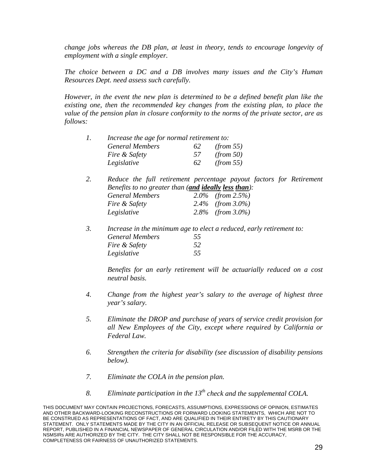*change jobs whereas the DB plan, at least in theory, tends to encourage longevity of employment with a single employer.* 

*The choice between a DC and a DB involves many issues and the City's Human Resources Dept. need assess such carefully.* 

*However, in the event the new plan is determined to be a defined benefit plan like the existing one, then the recommended key changes from the existing plan, to place the value of the pension plan in closure conformity to the norms of the private sector, are as follows:* 

|                          | Increase the age for normal retirement to: |           |
|--------------------------|--------------------------------------------|-----------|
| <b>General Members</b>   | 62                                         | (from 55) |
| <i>Fire &amp; Safety</i> |                                            | (from 50) |
| Legislative              | 62.                                        | (from 55) |

*2. Reduce the full retirement percentage payout factors for Retirement Benefits to no greater than (and ideally less than): General Members 2.0% (from 2.5%) Fire & Safety 2.4% (from 3.0%) Legislative 2.8% (from 3.0%)* 

| Increase in the minimum age to elect a reduced, early retirement to: |     |  |  |
|----------------------------------------------------------------------|-----|--|--|
| <b>General Members</b>                                               | .55 |  |  |
| <i>Fire &amp; Safety</i>                                             | 52  |  |  |
| Legislative                                                          | 55  |  |  |

*Benefits for an early retirement will be actuarially reduced on a cost neutral basis.* 

- *4. Change from the highest year's salary to the average of highest three year's salary.*
- *5. Eliminate the DROP and purchase of years of service credit provision for all New Employees of the City, except where required by California or Federal Law.*
- *6. Strengthen the criteria for disability (see discussion of disability pensions below).*
- *7. Eliminate the COLA in the pension plan.*
- 8. Eliminate participation in the 13<sup>th</sup> check and the supplemental COLA.

THIS DOCUMENT MAY CONTAIN PROJECTIONS, FORECASTS, ASSUMPTIONS, EXPRESSIONS OF OPINION, ESTIMATES AND OTHER BACKWARD-LOOKING RECONSTRUCTIONS OR FORWARD LOOKING STATEMENTS, WHICH ARE NOT TO BE CONSTRUED AS REPRESENTATIONS OF FACT, AND ARE QUALIFIED IN THEIR ENTIRETY BY THIS CAUTIONARY STATEMENT. ONLY STATEMENTS MADE BY THE CITY IN AN OFFICIAL RELEASE OR SUBSEQUENT NOTICE OR ANNUAL REPORT, PUBLISHED IN A FINANCIAL NEWSPAPER OF GENERAL CIRCULATION AND/OR FILED WITH THE MSRB OR THE NSMSIRs ARE AUTHORIZED BY THE CITY. THE CITY SHALL NOT BE RESPONSIBLE FOR THE ACCURACY, COMPLETENESS OR FAIRNESS OF UNAUTHORIZED STATEMENTS.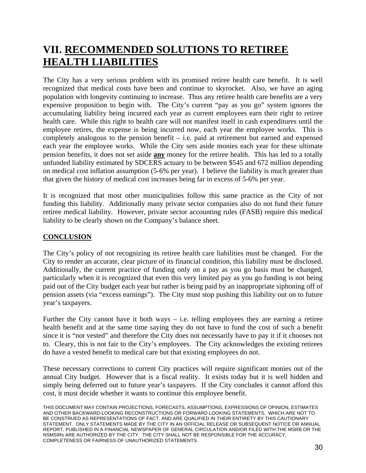### **VII. RECOMMENDED SOLUTIONS TO RETIREE HEALTH LIABILITIES**

The City has a very serious problem with its promised retiree health care benefit. It is well recognized that medical costs have been and continue to skyrocket. Also, we have an aging population with longevity continuing to increase. Thus any retiree health care benefits are a very expensive proposition to begin with. The City's current "pay as you go" system ignores the accumulating liability being incurred each year as current employees earn their right to retiree health care. While this right to health care will not manifest itself in cash expenditures until the employee retires, the expense is being incurred now, each year the employee works. This is completely analogous to the pension benefit – i.e. paid at retirement but earned and expensed each year the employee works. While the City sets aside monies each year for these ultimate pension benefits, it does not set aside **any** money for the retiree health. This has led to a totally unfunded liability estimated by SDCERS actuary to be between \$545 and 672 million depending on medical cost inflation assumption (5-6% per year). I believe the liability is much greater than that given the history of medical cost increases being far in excess of 5-6% per year.

It is recognized that most other municipalities follow this same practice as the City of not funding this liability. Additionally many private sector companies also do not fund their future retiree medical liability. However, private sector accounting rules (FASB) require this medical liability to be clearly shown on the Company's balance sheet.

#### **CONCLUSION**

The City's policy of not recognizing its retiree health care liabilities must be changed. For the City to render an accurate, clear picture of its financial condition, this liability must be disclosed. Additionally, the current practice of funding only on a pay as you go basis must be changed, particularly when it is recognized that even this very limited pay as you go funding is not being paid out of the City budget each year but rather is being paid by an inappropriate siphoning off of pension assets (via "excess earnings"). The City must stop pushing this liability out on to future year's taxpayers.

Further the City cannot have it both ways  $-$  i.e. telling employees they are earning a retiree health benefit and at the same time saying they do not have to fund the cost of such a benefit since it is "not vested" and therefore the City does not necessarily have to pay it if it chooses not to. Cleary, this is not fair to the City's employees. The City acknowledges the existing retirees do have a vested benefit to medical care but that existing employees do not.

These necessary corrections to current City practices will require significant monies out of the annual City budget. However that is a fiscal reality. It exists today but it is well hidden and simply being deferred out to future year's taxpayers. If the City concludes it cannot afford this cost, it must decide whether it wants to continue this employee benefit.

THIS DOCUMENT MAY CONTAIN PROJECTIONS, FORECASTS, ASSUMPTIONS, EXPRESSIONS OF OPINION, ESTIMATES AND OTHER BACKWARD-LOOKING RECONSTRUCTIONS OR FORWARD LOOKING STATEMENTS, WHICH ARE NOT TO BE CONSTRUED AS REPRESENTATIONS OF FACT, AND ARE QUALIFIED IN THEIR ENTIRETY BY THIS CAUTIONARY STATEMENT. ONLY STATEMENTS MADE BY THE CITY IN AN OFFICIAL RELEASE OR SUBSEQUENT NOTICE OR ANNUAL REPORT, PUBLISHED IN A FINANCIAL NEWSPAPER OF GENERAL CIRCULATION AND/OR FILED WITH THE MSRB OR THE NSMSIRs ARE AUTHORIZED BY THE CITY. THE CITY SHALL NOT BE RESPONSIBLE FOR THE ACCURACY, COMPLETENESS OR FAIRNESS OF UNAUTHORIZED STATEMENTS.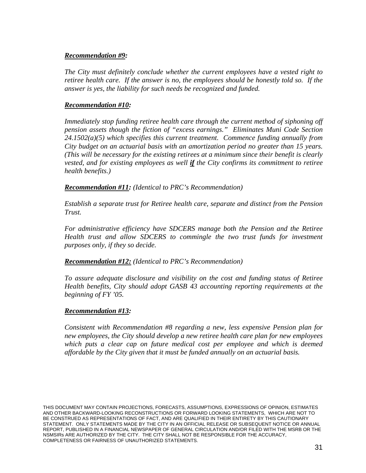#### *Recommendation #9:*

*The City must definitely conclude whether the current employees have a vested right to retiree health care. If the answer is no, the employees should be honestly told so. If the answer is yes, the liability for such needs be recognized and funded.* 

#### *Recommendation #10:*

*Immediately stop funding retiree health care through the current method of siphoning off pension assets though the fiction of "excess earnings." Eliminates Muni Code Section 24.1502(a)(5) which specifies this current treatment. Commence funding annually from City budget on an actuarial basis with an amortization period no greater than 15 years. (This will be necessary for the existing retirees at a minimum since their benefit is clearly vested, and for existing employees as well if the City confirms its commitment to retiree health benefits.)* 

*Recommendation #11: (Identical to PRC's Recommendation)* 

*Establish a separate trust for Retiree health care, separate and distinct from the Pension Trust.* 

*For administrative efficiency have SDCERS manage both the Pension and the Retiree Health trust and allow SDCERS to commingle the two trust funds for investment purposes only, if they so decide.* 

#### *Recommendation #12: (Identical to PRC's Recommendation)*

*To assure adequate disclosure and visibility on the cost and funding status of Retiree Health benefits, City should adopt GASB 43 accounting reporting requirements at the beginning of FY '05.* 

#### *Recommendation #13:*

*Consistent with Recommendation #8 regarding a new, less expensive Pension plan for new employees, the City should develop a new retiree health care plan for new employees*  which puts a clear cap on future medical cost per employee and which is deemed *affordable by the City given that it must be funded annually on an actuarial basis.*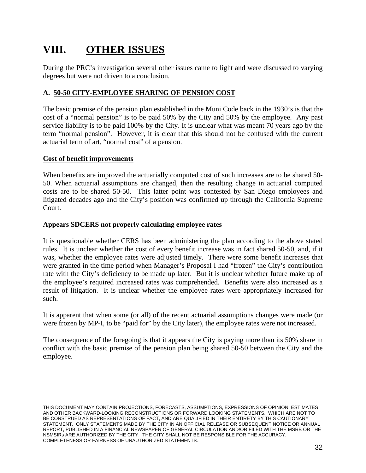### **VIII. OTHER ISSUES**

During the PRC's investigation several other issues came to light and were discussed to varying degrees but were not driven to a conclusion.

#### **A. 50-50 CITY-EMPLOYEE SHARING OF PENSION COST**

The basic premise of the pension plan established in the Muni Code back in the 1930's is that the cost of a "normal pension" is to be paid 50% by the City and 50% by the employee. Any past service liability is to be paid 100% by the City. It is unclear what was meant 70 years ago by the term "normal pension". However, it is clear that this should not be confused with the current actuarial term of art, "normal cost" of a pension.

#### **Cost of benefit improvements**

When benefits are improved the actuarially computed cost of such increases are to be shared 50- 50. When actuarial assumptions are changed, then the resulting change in actuarial computed costs are to be shared 50-50. This latter point was contested by San Diego employees and litigated decades ago and the City's position was confirmed up through the California Supreme Court.

#### **Appears SDCERS not properly calculating employee rates**

It is questionable whether CERS has been administering the plan according to the above stated rules. It is unclear whether the cost of every benefit increase was in fact shared 50-50, and, if it was, whether the employee rates were adjusted timely. There were some benefit increases that were granted in the time period when Manager's Proposal I had "frozen" the City's contribution rate with the City's deficiency to be made up later. But it is unclear whether future make up of the employee's required increased rates was comprehended. Benefits were also increased as a result of litigation. It is unclear whether the employee rates were appropriately increased for such.

It is apparent that when some (or all) of the recent actuarial assumptions changes were made (or were frozen by MP-I, to be "paid for" by the City later), the employee rates were not increased.

The consequence of the foregoing is that it appears the City is paying more than its 50% share in conflict with the basic premise of the pension plan being shared 50-50 between the City and the employee.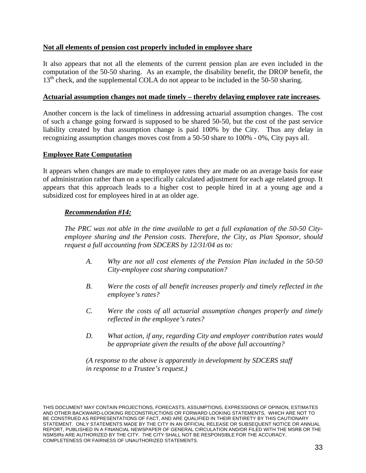#### **Not all elements of pension cost properly included in employee share**

It also appears that not all the elements of the current pension plan are even included in the computation of the 50-50 sharing. As an example, the disability benefit, the DROP benefit, the  $13<sup>th</sup>$  check, and the supplemental COLA do not appear to be included in the 50-50 sharing.

#### **Actuarial assumption changes not made timely – thereby delaying employee rate increases.**

Another concern is the lack of timeliness in addressing actuarial assumption changes. The cost of such a change going forward is supposed to be shared 50-50, but the cost of the past service liability created by that assumption change is paid 100% by the City. Thus any delay in recognizing assumption changes moves cost from a 50-50 share to 100% - 0%, City pays all.

#### **Employee Rate Computation**

It appears when changes are made to employee rates they are made on an average basis for ease of administration rather than on a specifically calculated adjustment for each age related group. It appears that this approach leads to a higher cost to people hired in at a young age and a subsidized cost for employees hired in at an older age.

#### *Recommendation #14:*

*The PRC was not able in the time available to get a full explanation of the 50-50 Cityemployee sharing and the Pension costs. Therefore, the City, as Plan Sponsor, should request a full accounting from SDCERS by 12/31/04 as to:* 

- *A. Why are not all cost elements of the Pension Plan included in the 50-50 City-employee cost sharing computation?*
- *B. Were the costs of all benefit increases properly and timely reflected in the employee's rates?*
- *C. Were the costs of all actuarial assumption changes properly and timely reflected in the employee's rates?*
- *D. What action, if any, regarding City and employer contribution rates would be appropriate given the results of the above full accounting?*

*(A response to the above is apparently in development by SDCERS staff in response to a Trustee's request.)*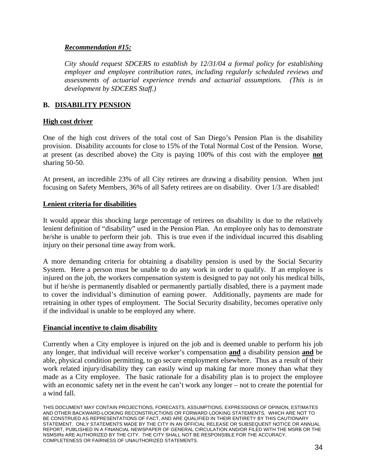#### *Recommendation #15:*

*City should request SDCERS to establish by 12/31/04 a formal policy for establishing employer and employee contribution rates, including regularly scheduled reviews and assessments of actuarial experience trends and actuarial assumptions. (This is in development by SDCERS Staff.)* 

#### **B. DISABILITY PENSION**

#### **High cost driver**

One of the high cost drivers of the total cost of San Diego's Pension Plan is the disability provision. Disability accounts for close to 15% of the Total Normal Cost of the Pension. Worse, at present (as described above) the City is paying 100% of this cost with the employee **not** sharing 50-50.

At present, an incredible 23% of all City retirees are drawing a disability pension. When just focusing on Safety Members, 36% of all Safety retirees are on disability. Over 1/3 are disabled!

#### **Lenient criteria for disabilities**

It would appear this shocking large percentage of retirees on disability is due to the relatively lenient definition of "disability" used in the Pension Plan. An employee only has to demonstrate he/she is unable to perform their job. This is true even if the individual incurred this disabling injury on their personal time away from work.

A more demanding criteria for obtaining a disability pension is used by the Social Security System. Here a person must be unable to do any work in order to qualify. If an employee is injured on the job, the workers compensation system is designed to pay not only his medical bills, but if he/she is permanently disabled or permanently partially disabled, there is a payment made to cover the individual's diminution of earning power. Additionally, payments are made for retraining in other types of employment. The Social Security disability, becomes operative only if the individual is unable to be employed any where.

#### **Financial incentive to claim disability**

Currently when a City employee is injured on the job and is deemed unable to perform his job any longer, that individual will receive worker's compensation **and** a disability pension **and** be able, physical condition permitting, to go secure employment elsewhere. Thus as a result of their work related injury/disability they can easily wind up making far more money than what they made as a City employee. The basic rationale for a disability plan is to project the employee with an economic safety net in the event he can't work any longer – not to create the potential for a wind fall.

THIS DOCUMENT MAY CONTAIN PROJECTIONS, FORECASTS, ASSUMPTIONS, EXPRESSIONS OF OPINION, ESTIMATES AND OTHER BACKWARD-LOOKING RECONSTRUCTIONS OR FORWARD LOOKING STATEMENTS, WHICH ARE NOT TO BE CONSTRUED AS REPRESENTATIONS OF FACT, AND ARE QUALIFIED IN THEIR ENTIRETY BY THIS CAUTIONARY STATEMENT. ONLY STATEMENTS MADE BY THE CITY IN AN OFFICIAL RELEASE OR SUBSEQUENT NOTICE OR ANNUAL REPORT, PUBLISHED IN A FINANCIAL NEWSPAPER OF GENERAL CIRCULATION AND/OR FILED WITH THE MSRB OR THE NSMSIRs ARE AUTHORIZED BY THE CITY. THE CITY SHALL NOT BE RESPONSIBLE FOR THE ACCURACY, COMPLETENESS OR FAIRNESS OF UNAUTHORIZED STATEMENTS.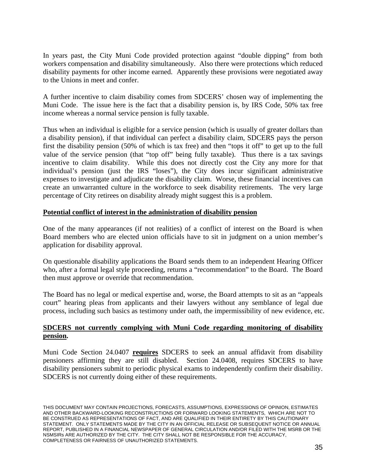In years past, the City Muni Code provided protection against "double dipping" from both workers compensation and disability simultaneously. Also there were protections which reduced disability payments for other income earned. Apparently these provisions were negotiated away to the Unions in meet and confer.

A further incentive to claim disability comes from SDCERS' chosen way of implementing the Muni Code. The issue here is the fact that a disability pension is, by IRS Code, 50% tax free income whereas a normal service pension is fully taxable.

Thus when an individual is eligible for a service pension (which is usually of greater dollars than a disability pension), if that individual can perfect a disability claim, SDCERS pays the person first the disability pension (50% of which is tax free) and then "tops it off" to get up to the full value of the service pension (that "top off" being fully taxable). Thus there is a tax savings incentive to claim disability. While this does not directly cost the City any more for that individual's pension (just the IRS "loses"), the City does incur significant administrative expenses to investigate and adjudicate the disability claim. Worse, these financial incentives can create an unwarranted culture in the workforce to seek disability retirements. The very large percentage of City retirees on disability already might suggest this is a problem.

#### **Potential conflict of interest in the administration of disability pension**

One of the many appearances (if not realities) of a conflict of interest on the Board is when Board members who are elected union officials have to sit in judgment on a union member's application for disability approval.

On questionable disability applications the Board sends them to an independent Hearing Officer who, after a formal legal style proceeding, returns a "recommendation" to the Board. The Board then must approve or override that recommendation.

The Board has no legal or medical expertise and, worse, the Board attempts to sit as an "appeals court" hearing pleas from applicants and their lawyers without any semblance of legal due process, including such basics as testimony under oath, the impermissibility of new evidence, etc.

#### **SDCERS not currently complying with Muni Code regarding monitoring of disability pension.**

Muni Code Section 24.0407 **requires** SDCERS to seek an annual affidavit from disability pensioners affirming they are still disabled. Section 24.0408, requires SDCERS to have disability pensioners submit to periodic physical exams to independently confirm their disability. SDCERS is not currently doing either of these requirements.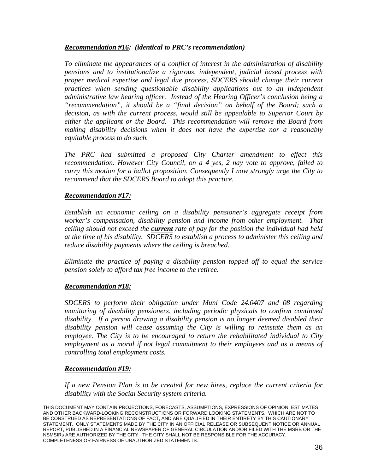#### *Recommendation #16: (identical to PRC's recommendation)*

*To eliminate the appearances of a conflict of interest in the administration of disability pensions and to institutionalize a rigorous, independent, judicial based process with proper medical expertise and legal due process, SDCERS should change their current practices when sending questionable disability applications out to an independent administrative law hearing officer. Instead of the Hearing Officer's conclusion being a "recommendation", it should be a "final decision" on behalf of the Board; such a decision, as with the current process, would still be appealable to Superior Court by either the applicant or the Board. This recommendation will remove the Board from making disability decisions when it does not have the expertise nor a reasonably equitable process to do such.* 

*The PRC had submitted a proposed City Charter amendment to effect this recommendation. However City Council, on a 4 yes, 2 nay vote to approve, failed to carry this motion for a ballot proposition. Consequently I now strongly urge the City to recommend that the SDCERS Board to adopt this practice.* 

#### *Recommendation #17:*

*Establish an economic ceiling on a disability pensioner's aggregate receipt from worker's compensation, disability pension and income from other employment. That ceiling should not exceed the current rate of pay for the position the individual had held at the time of his disability. SDCERS to establish a process to administer this ceiling and reduce disability payments where the ceiling is breached.* 

*Eliminate the practice of paying a disability pension topped off to equal the service pension solely to afford tax free income to the retiree.* 

#### *Recommendation #18:*

*SDCERS to perform their obligation under Muni Code 24.0407 and 08 regarding monitoring of disability pensioners, including periodic physicals to confirm continued disability. If a person drawing a disability pension is no longer deemed disabled their disability pension will cease assuming the City is willing to reinstate them as an employee. The City is to be encouraged to return the rehabilitated individual to City employment as a moral if not legal commitment to their employees and as a means of controlling total employment costs.* 

#### *Recommendation #19:*

*If a new Pension Plan is to be created for new hires, replace the current criteria for disability with the Social Security system criteria.* 

THIS DOCUMENT MAY CONTAIN PROJECTIONS, FORECASTS, ASSUMPTIONS, EXPRESSIONS OF OPINION, ESTIMATES AND OTHER BACKWARD-LOOKING RECONSTRUCTIONS OR FORWARD LOOKING STATEMENTS, WHICH ARE NOT TO BE CONSTRUED AS REPRESENTATIONS OF FACT, AND ARE QUALIFIED IN THEIR ENTIRETY BY THIS CAUTIONARY STATEMENT. ONLY STATEMENTS MADE BY THE CITY IN AN OFFICIAL RELEASE OR SUBSEQUENT NOTICE OR ANNUAL REPORT, PUBLISHED IN A FINANCIAL NEWSPAPER OF GENERAL CIRCULATION AND/OR FILED WITH THE MSRB OR THE NSMSIRs ARE AUTHORIZED BY THE CITY. THE CITY SHALL NOT BE RESPONSIBLE FOR THE ACCURACY, COMPLETENESS OR FAIRNESS OF UNAUTHORIZED STATEMENTS.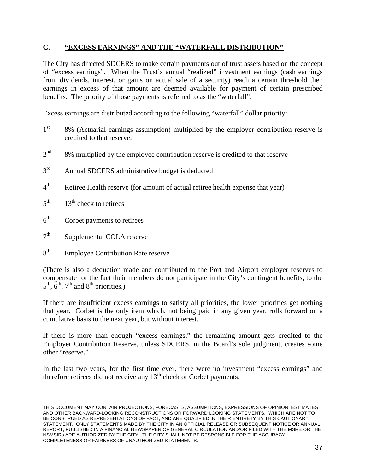#### **C. "EXCESS EARNINGS" AND THE "WATERFALL DISTRIBUTION"**

The City has directed SDCERS to make certain payments out of trust assets based on the concept of "excess earnings". When the Trust's annual "realized" investment earnings (cash earnings from dividends, interest, or gains on actual sale of a security) reach a certain threshold then earnings in excess of that amount are deemed available for payment of certain prescribed benefits. The priority of those payments is referred to as the "waterfall".

Excess earnings are distributed according to the following "waterfall" dollar priority:

- $1<sup>st</sup>$  8% (Actuarial earnings assumption) multiplied by the employer contribution reserve is credited to that reserve.
- $2<sup>nd</sup>$  8% multiplied by the employee contribution reserve is credited to that reserve
- 3rd Annual SDCERS administrative budget is deducted
- $4<sup>th</sup>$  Retiree Health reserve (for amount of actual retiree health expense that year)
- $5<sup>th</sup>$  13<sup>th</sup> check to retirees
- $6<sup>th</sup>$  Corbet payments to retirees
- $7<sup>th</sup>$  Supplemental COLA reserve
- 8<sup>th</sup> Employee Contribution Rate reserve

(There is also a deduction made and contributed to the Port and Airport employer reserves to compensate for the fact their members do not participate in the City's contingent benefits, to the  $5<sup>th</sup>$ ,  $6<sup>th</sup>$ ,  $7<sup>th</sup>$  and  $8<sup>th</sup>$  priorities.)

If there are insufficient excess earnings to satisfy all priorities, the lower priorities get nothing that year. Corbet is the only item which, not being paid in any given year, rolls forward on a cumulative basis to the next year, but without interest.

If there is more than enough "excess earnings," the remaining amount gets credited to the Employer Contribution Reserve, unless SDCERS, in the Board's sole judgment, creates some other "reserve."

In the last two years, for the first time ever, there were no investment "excess earnings" and therefore retirees did not receive any  $13<sup>th</sup>$  check or Corbet payments.

THIS DOCUMENT MAY CONTAIN PROJECTIONS, FORECASTS, ASSUMPTIONS, EXPRESSIONS OF OPINION, ESTIMATES AND OTHER BACKWARD-LOOKING RECONSTRUCTIONS OR FORWARD LOOKING STATEMENTS, WHICH ARE NOT TO BE CONSTRUED AS REPRESENTATIONS OF FACT, AND ARE QUALIFIED IN THEIR ENTIRETY BY THIS CAUTIONARY STATEMENT. ONLY STATEMENTS MADE BY THE CITY IN AN OFFICIAL RELEASE OR SUBSEQUENT NOTICE OR ANNUAL REPORT, PUBLISHED IN A FINANCIAL NEWSPAPER OF GENERAL CIRCULATION AND/OR FILED WITH THE MSRB OR THE NSMSIRs ARE AUTHORIZED BY THE CITY. THE CITY SHALL NOT BE RESPONSIBLE FOR THE ACCURACY, COMPLETENESS OR FAIRNESS OF UNAUTHORIZED STATEMENTS.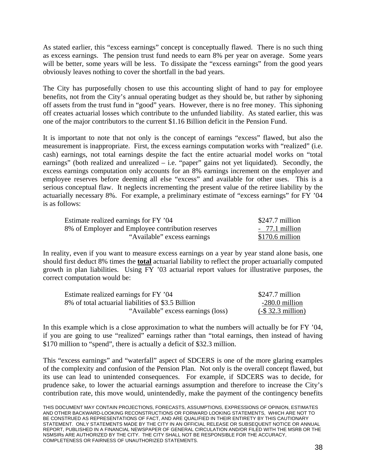As stated earlier, this "excess earnings" concept is conceptually flawed. There is no such thing as excess earnings. The pension trust fund needs to earn 8% per year on average. Some years will be better, some years will be less. To dissipate the "excess earnings" from the good years obviously leaves nothing to cover the shortfall in the bad years.

The City has purposefully chosen to use this accounting slight of hand to pay for employee benefits, not from the City's annual operating budget as they should be, but rather by siphoning off assets from the trust fund in "good" years. However, there is no free money. This siphoning off creates actuarial losses which contribute to the unfunded liability. As stated earlier, this was one of the major contributors to the current \$1.16 Billion deficit in the Pension Fund.

It is important to note that not only is the concept of earnings "excess" flawed, but also the measurement is inappropriate. First, the excess earnings computation works with "realized" (i.e. cash) earnings, not total earnings despite the fact the entire actuarial model works on "total earnings" (both realized and unrealized  $-$  i.e. "paper" gains not yet liquidated). Secondly, the excess earnings computation only accounts for an 8% earnings increment on the employer and employee reserves before deeming all else "excess" and available for other uses. This is a serious conceptual flaw. It neglects incrementing the present value of the retiree liability by the actuarially necessary 8%. For example, a preliminary estimate of "excess earnings" for FY '04 is as follows:

| Estimate realized earnings for FY '04             | $$247.7$ million |
|---------------------------------------------------|------------------|
| 8% of Employer and Employee contribution reserves | $-77.1$ million  |
| "Available" excess earnings                       | $$170.6$ million |

In reality, even if you want to measure excess earnings on a year by year stand alone basis, one should first deduct 8% times the **total** actuarial liability to reflect the proper actuarially computed growth in plan liabilities. Using FY '03 actuarial report values for illustrative purposes, the correct computation would be:

| Estimate realized earnings for FY '04              | $$247.7$ million     |
|----------------------------------------------------|----------------------|
| 8% of total actuarial liabilities of \$3.5 Billion | $-280.0$ million     |
| "Available" excess earnings (loss)                 | $(-\$ 32.3 million)$ |

In this example which is a close approximation to what the numbers will actually be for FY '04, if you are going to use "realized" earnings rather than "total earnings, then instead of having \$170 million to "spend", there is actually a deficit of \$32.3 million.

This "excess earnings" and "waterfall" aspect of SDCERS is one of the more glaring examples of the complexity and confusion of the Pension Plan. Not only is the overall concept flawed, but its use can lead to unintended consequences. For example, if SDCERS was to decide, for prudence sake, to lower the actuarial earnings assumption and therefore to increase the City's contribution rate, this move would, unintendedly, make the payment of the contingency benefits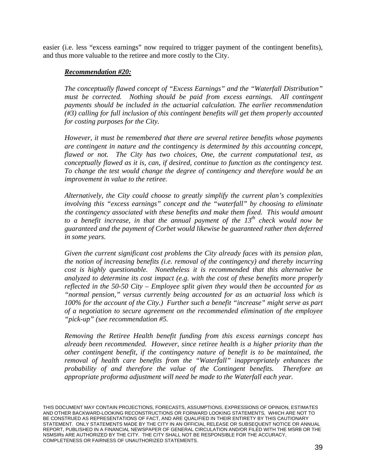easier (i.e. less "excess earnings" now required to trigger payment of the contingent benefits), and thus more valuable to the retiree and more costly to the City.

#### *Recommendation #20:*

*The conceptually flawed concept of "Excess Earnings" and the "Waterfall Distribution"*  must be corrected. Nothing should be paid from excess earnings. All contingent *payments should be included in the actuarial calculation. The earlier recommendation (#3) calling for full inclusion of this contingent benefits will get them properly accounted for costing purposes for the City.* 

*However, it must be remembered that there are several retiree benefits whose payments are contingent in nature and the contingency is determined by this accounting concept, flawed or not. The City has two choices, One, the current computational test, as conceptually flawed as it is, can, if desired, continue to function as the contingency test. To change the test would change the degree of contingency and therefore would be an improvement in value to the retiree.* 

*Alternatively, the City could choose to greatly simplify the current plan's complexities involving this "excess earnings" concept and the "waterfall" by choosing to eliminate the contingency associated with these benefits and make them fixed. This would amount*  to a benefit increase, in that the annual payment of the 13<sup>th</sup> check would now be *guaranteed and the payment of Corbet would likewise be guaranteed rather then deferred in some years.* 

*Given the current significant cost problems the City already faces with its pension plan, the notion of increasing benefits (i.e. removal of the contingency) and thereby incurring cost is highly questionable. Nonetheless it is recommended that this alternative be analyzed to determine its cost impact (e.g. with the cost of these benefits more properly reflected in the 50-50 City – Employee split given they would then be accounted for as "normal pension," versus currently being accounted for as an actuarial loss which is 100% for the account of the City.) Further such a benefit "increase" might serve as part of a negotiation to secure agreement on the recommended elimination of the employee "pick-up" (see recommendation #5.* 

*Removing the Retiree Health benefit funding from this excess earnings concept has already been recommended. However, since retiree health is a higher priority than the other contingent benefit, if the contingency nature of benefit is to be maintained, the removal of health care benefits from the "Waterfall" inappropriately enhances the probability of and therefore the value of the Contingent benefits. Therefore an appropriate proforma adjustment will need be made to the Waterfall each year.*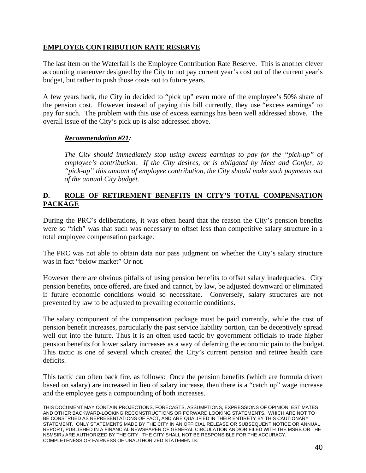#### **EMPLOYEE CONTRIBUTION RATE RESERVE**

The last item on the Waterfall is the Employee Contribution Rate Reserve. This is another clever accounting maneuver designed by the City to not pay current year's cost out of the current year's budget, but rather to push those costs out to future years.

A few years back, the City in decided to "pick up" even more of the employee's 50% share of the pension cost. However instead of paying this bill currently, they use "excess earnings" to pay for such. The problem with this use of excess earnings has been well addressed above. The overall issue of the City's pick up is also addressed above.

#### *Recommendation #21:*

*The City should immediately stop using excess earnings to pay for the "pick-up" of employee's contribution. If the City desires, or is obligated by Meet and Confer, to "pick-up" this amount of employee contribution, the City should make such payments out of the annual City budget.* 

#### **D. ROLE OF RETIREMENT BENEFITS IN CITY'S TOTAL COMPENSATION PACKAGE**

During the PRC's deliberations, it was often heard that the reason the City's pension benefits were so "rich" was that such was necessary to offset less than competitive salary structure in a total employee compensation package.

The PRC was not able to obtain data nor pass judgment on whether the City's salary structure was in fact "below market" Or not.

However there are obvious pitfalls of using pension benefits to offset salary inadequacies. City pension benefits, once offered, are fixed and cannot, by law, be adjusted downward or eliminated if future economic conditions would so necessitate. Conversely, salary structures are not prevented by law to be adjusted to prevailing economic conditions.

The salary component of the compensation package must be paid currently, while the cost of pension benefit increases, particularly the past service liability portion, can be deceptively spread well out into the future. Thus it is an often used tactic by government officials to trade higher pension benefits for lower salary increases as a way of deferring the economic pain to the budget. This tactic is one of several which created the City's current pension and retiree health care deficits.

This tactic can often back fire, as follows: Once the pension benefits (which are formula driven based on salary) are increased in lieu of salary increase, then there is a "catch up" wage increase and the employee gets a compounding of both increases.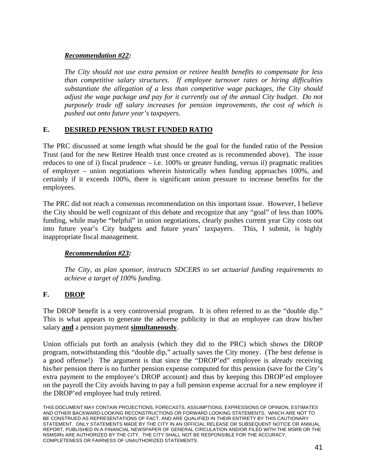#### *Recommendation #22:*

*The City should not use extra pension or retiree health benefits to compensate for less than competitive salary structures. If employee turnover rates or hiring difficulties substantiate the allegation of a less than competitive wage packages, the City should adjust the wage package and pay for it currently out of the annual City budget. Do not purposely trade off salary increases for pension improvements, the cost of which is pushed out onto future year's taxpayers.* 

#### **E. DESIRED PENSION TRUST FUNDED RATIO**

The PRC discussed at some length what should be the goal for the funded ratio of the Pension Trust (and for the new Retiree Health trust once created as is recommended above). The issue reduces to one of i) fiscal prudence – i.e. 100% or greater funding, versus ii) pragmatic realities of employer – union negotiations wherein historically when funding approaches 100%, and certainly if it exceeds 100%, there is significant union pressure to increase benefits for the employees.

The PRC did not reach a consensus recommendation on this important issue. However, I believe the City should be well cognizant of this debate and recognize that any "goal" of less than 100% funding, while maybe "helpful" in union negotiations, clearly pushes current year City costs out into future year's City budgets and future years' taxpayers. This, I submit, is highly inappropriate fiscal management.

#### *Recommendation #23:*

*The City, as plan sponsor, instructs SDCERS to set actuarial funding requirements to achieve a target of 100% funding.* 

#### **F. DROP**

The DROP benefit is a very controversial program. It is often referred to as the "double dip." This is what appears to generate the adverse publicity in that an employee can draw his/her salary **and** a pension payment **simultaneously**.

Union officials put forth an analysis (which they did to the PRC) which shows the DROP program, notwithstanding this "double dip," actually saves the City money. (The best defense is a good offense!) The argument is that since the "DROP'ed" employee is already receiving his/her pension there is no further pension expense computed for this pension (save for the City's extra payment to the employee's DROP account) and thus by keeping this DROP'ed employee on the payroll the City avoids having to pay a full pension expense accrual for a new employee if the DROP'ed employee had truly retired.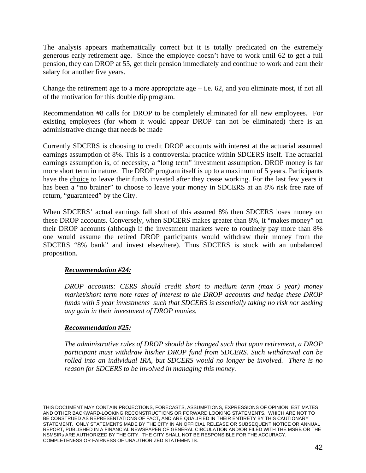The analysis appears mathematically correct but it is totally predicated on the extremely generous early retirement age. Since the employee doesn't have to work until 62 to get a full pension, they can DROP at 55, get their pension immediately and continue to work and earn their salary for another five years.

Change the retirement age to a more appropriate age  $-$  i.e. 62, and you eliminate most, if not all of the motivation for this double dip program.

Recommendation #8 calls for DROP to be completely eliminated for all new employees. For existing employees (for whom it would appear DROP can not be eliminated) there is an administrative change that needs be made

Currently SDCERS is choosing to credit DROP accounts with interest at the actuarial assumed earnings assumption of 8%. This is a controversial practice within SDCERS itself. The actuarial earnings assumption is, of necessity, a "long term" investment assumption. DROP money is far more short term in nature. The DROP program itself is up to a maximum of 5 years. Participants have the choice to leave their funds invested after they cease working. For the last few years it has been a "no brainer" to choose to leave your money in SDCERS at an 8% risk free rate of return, "guaranteed" by the City.

When SDCERS' actual earnings fall short of this assured 8% then SDCERS loses money on these DROP accounts. Conversely, when SDCERS makes greater than 8%, it "makes money" on their DROP accounts (although if the investment markets were to routinely pay more than 8% one would assume the retired DROP participants would withdraw their money from the SDCERS "8% bank" and invest elsewhere). Thus SDCERS is stuck with an unbalanced proposition.

#### *Recommendation #24:*

*DROP accounts: CERS should credit short to medium term (max 5 year) money market/short term note rates of interest to the DROP accounts and hedge these DROP funds with 5 year investments such that SDCERS is essentially taking no risk nor seeking any gain in their investment of DROP monies.* 

#### *Recommendation #25:*

*The administrative rules of DROP should be changed such that upon retirement, a DROP participant must withdraw his/her DROP fund from SDCERS. Such withdrawal can be rolled into an individual IRA, but SDCERS would no longer be involved. There is no reason for SDCERS to be involved in managing this money.*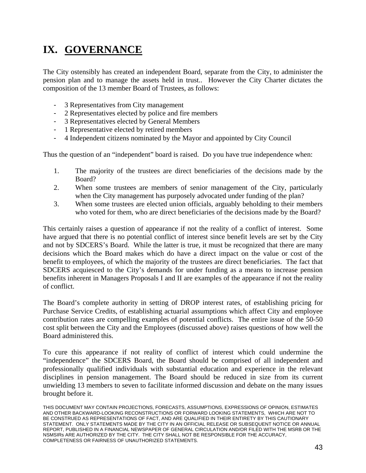### **IX. GOVERNANCE**

The City ostensibly has created an independent Board, separate from the City, to administer the pension plan and to manage the assets held in trust.. However the City Charter dictates the composition of the 13 member Board of Trustees, as follows:

- 3 Representatives from City management
- 2 Representatives elected by police and fire members
- 3 Representatives elected by General Members
- 1 Representative elected by retired members
- 4 Independent citizens nominated by the Mayor and appointed by City Council

Thus the question of an "independent" board is raised. Do you have true independence when:

- 1. The majority of the trustees are direct beneficiaries of the decisions made by the Board?
- 2. When some trustees are members of senior management of the City, particularly when the City management has purposely advocated under funding of the plan?
- 3. When some trustees are elected union officials, arguably beholding to their members who voted for them, who are direct beneficiaries of the decisions made by the Board?

This certainly raises a question of appearance if not the reality of a conflict of interest. Some have argued that there is no potential conflict of interest since benefit levels are set by the City and not by SDCERS's Board. While the latter is true, it must be recognized that there are many decisions which the Board makes which do have a direct impact on the value or cost of the benefit to employees, of which the majority of the trustees are direct beneficiaries. The fact that SDCERS acquiesced to the City's demands for under funding as a means to increase pension benefits inherent in Managers Proposals I and II are examples of the appearance if not the reality of conflict.

The Board's complete authority in setting of DROP interest rates, of establishing pricing for Purchase Service Credits, of establishing actuarial assumptions which affect City and employee contribution rates are compelling examples of potential conflicts. The entire issue of the 50-50 cost split between the City and the Employees (discussed above) raises questions of how well the Board administered this.

To cure this appearance if not reality of conflict of interest which could undermine the "independence" the SDCERS Board, the Board should be comprised of all independent and professionally qualified individuals with substantial education and experience in the relevant disciplines in pension management. The Board should be reduced in size from its current unwielding 13 members to seven to facilitate informed discussion and debate on the many issues brought before it.

THIS DOCUMENT MAY CONTAIN PROJECTIONS, FORECASTS, ASSUMPTIONS, EXPRESSIONS OF OPINION, ESTIMATES AND OTHER BACKWARD-LOOKING RECONSTRUCTIONS OR FORWARD LOOKING STATEMENTS, WHICH ARE NOT TO BE CONSTRUED AS REPRESENTATIONS OF FACT, AND ARE QUALIFIED IN THEIR ENTIRETY BY THIS CAUTIONARY STATEMENT. ONLY STATEMENTS MADE BY THE CITY IN AN OFFICIAL RELEASE OR SUBSEQUENT NOTICE OR ANNUAL REPORT, PUBLISHED IN A FINANCIAL NEWSPAPER OF GENERAL CIRCULATION AND/OR FILED WITH THE MSRB OR THE NSMSIRs ARE AUTHORIZED BY THE CITY. THE CITY SHALL NOT BE RESPONSIBLE FOR THE ACCURACY, COMPLETENESS OR FAIRNESS OF UNAUTHORIZED STATEMENTS.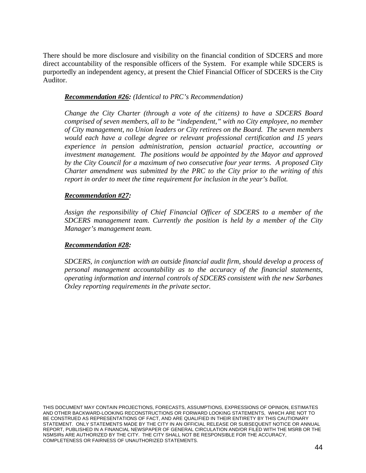There should be more disclosure and visibility on the financial condition of SDCERS and more direct accountability of the responsible officers of the System. For example while SDCERS is purportedly an independent agency, at present the Chief Financial Officer of SDCERS is the City Auditor.

#### *Recommendation #26: (Identical to PRC's Recommendation)*

*Change the City Charter (through a vote of the citizens) to have a SDCERS Board comprised of seven members, all to be "independent," with no City employee, no member of City management, no Union leaders or City retirees on the Board. The seven members would each have a college degree or relevant professional certification and 15 years experience in pension administration, pension actuarial practice, accounting or investment management. The positions would be appointed by the Mayor and approved by the City Council for a maximum of two consecutive four year terms. A proposed City Charter amendment was submitted by the PRC to the City prior to the writing of this report in order to meet the time requirement for inclusion in the year's ballot.* 

#### *Recommendation #27:*

*Assign the responsibility of Chief Financial Officer of SDCERS to a member of the SDCERS management team. Currently the position is held by a member of the City Manager's management team.* 

#### *Recommendation #28:*

*SDCERS, in conjunction with an outside financial audit firm, should develop a process of personal management accountability as to the accuracy of the financial statements, operating information and internal controls of SDCERS consistent with the new Sarbanes Oxley reporting requirements in the private sector.*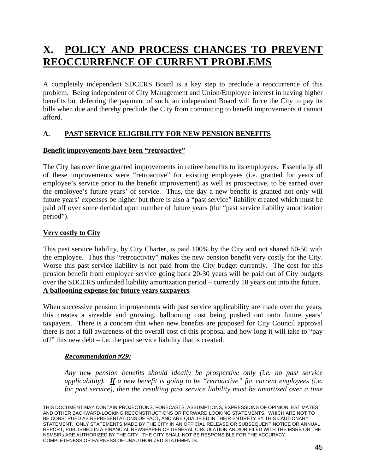### **X. POLICY AND PROCESS CHANGES TO PREVENT REOCCURRENCE OF CURRENT PROBLEMS**

A completely independent SDCERS Board is a key step to preclude a reoccurrence of this problem. Being independent of City Management and Union/Employee interest in having higher benefits but deferring the payment of such, an independent Board will force the City to pay its bills when due and thereby preclude the City from committing to benefit improvements it cannot afford.

#### **A. PAST SERVICE ELIGIBILITY FOR NEW PENSION BENEFITS**

#### **Benefit improvements have been "retroactive"**

The City has over time granted improvements in retiree benefits to its employees. Essentially all of these improvements were "retroactive" for existing employees (i.e. granted for years of employee's service prior to the benefit improvement) as well as prospective, to be earned over the employee's future years' of service. Thus, the day a new benefit is granted not only will future years' expenses be higher but there is also a "past service" liability created which must be paid off over some decided upon number of future years (the "past service liability amortization period").

#### **Very costly to City**

This past service liability, by City Charter, is paid 100% by the City and not shared 50-50 with the employee. Thus this "retroactivity" makes the new pension benefit very costly for the City. Worse this past service liability is not paid from the City budget currently. The cost for this pension benefit from employee service going back 20-30 years will be paid out of City budgets over the SDCERS unfunded liability amortization period – currently 18 years out into the future. **A ballooning expense for future years taxpayers**

When successive pension improvements with past service applicability are made over the years, this creates a sizeable and growing, ballooning cost being pushed out onto future years' taxpayers. There is a concern that when new benefits are proposed for City Council approval there is not a full awareness of the overall cost of this proposal and how long it will take to "pay off" this new debt  $-$  i.e. the past service liability that is created.

#### *Recommendation #29:*

*Any new pension benefits should ideally be prospective only (i.e. no past service applicability). If a new benefit is going to be "retroactive" for current employees (i.e. for past service), then the resulting past service liability must be amortized over a time* 

THIS DOCUMENT MAY CONTAIN PROJECTIONS, FORECASTS, ASSUMPTIONS, EXPRESSIONS OF OPINION, ESTIMATES AND OTHER BACKWARD-LOOKING RECONSTRUCTIONS OR FORWARD LOOKING STATEMENTS, WHICH ARE NOT TO BE CONSTRUED AS REPRESENTATIONS OF FACT, AND ARE QUALIFIED IN THEIR ENTIRETY BY THIS CAUTIONARY STATEMENT. ONLY STATEMENTS MADE BY THE CITY IN AN OFFICIAL RELEASE OR SUBSEQUENT NOTICE OR ANNUAL REPORT, PUBLISHED IN A FINANCIAL NEWSPAPER OF GENERAL CIRCULATION AND/OR FILED WITH THE MSRB OR THE NSMSIRs ARE AUTHORIZED BY THE CITY. THE CITY SHALL NOT BE RESPONSIBLE FOR THE ACCURACY, COMPLETENESS OR FAIRNESS OF UNAUTHORIZED STATEMENTS.